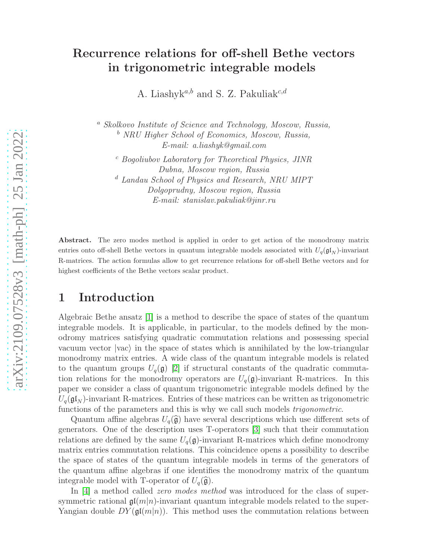# Recurrence relations for off-shell Bethe vectors in trigonometric integrable models

A. Liashyk<sup>a,b</sup> and S. Z. Pakuliak<sup>c,d</sup>

<sup>a</sup> Skolkovo Institute of Science and Technology, Moscow, Russia, <sup>b</sup> NRU Higher School of Economics, Moscow, Russia, E-mail: a.liashyk@gmail.com

<sup>c</sup> Bogoliubov Laboratory for Theoretical Physics, JINR Dubna, Moscow region, Russia <sup>d</sup> Landau School of Physics and Research, NRU MIPT Dolgoprudny, Moscow region, Russia E-mail: stanislav.pakuliak@jinr.ru

Abstract. The zero modes method is applied in order to get action of the monodromy matrix entries onto off-shell Bethe vectors in quantum integrable models associated with  $U_q(\mathfrak{gl}_N)$ -invariant R-matrices. The action formulas allow to get recurrence relations for off-shell Bethe vectors and for highest coefficients of the Bethe vectors scalar product.

## 1 Introduction

Algebraic Bethe ansatz [\[1\]](#page-19-0) is a method to describe the space of states of the quantum integrable models. It is applicable, in particular, to the models defined by the monodromy matrices satisfying quadratic commutation relations and possessing special vacuum vector  $\vert vac \rangle$  in the space of states which is annihilated by the low-triangular monodromy matrix entries. A wide class of the quantum integrable models is related to the quantum groups  $U_q(\mathfrak{g})$  [\[2\]](#page-19-1) if structural constants of the quadratic commutation relations for the monodromy operators are  $U_q(\mathfrak{g})$ -invariant R-matrices. In this paper we consider a class of quantum trigonometric integrable models defined by the  $U_q(\mathfrak{gl}_N)$ -invariant R-matrices. Entries of these matrices can be written as trigonometric functions of the parameters and this is why we call such models trigonometric.

Quantum affine algebras  $U_q(\hat{\mathfrak{g}})$  have several descriptions which use different sets of generators. One of the description uses T-operators [\[3\]](#page-19-2) such that their commutation relations are defined by the same  $U_q(\mathfrak{g})$ -invariant R-matrices which define monodromy matrix entries commutation relations. This coincidence opens a possibility to describe the space of states of the quantum integrable models in terms of the generators of the quantum affine algebras if one identifies the monodromy matrix of the quantum integrable model with T-operator of  $U_q(\hat{\mathfrak{g}})$ .

In [\[4\]](#page-19-3) a method called *zero modes method* was introduced for the class of supersymmetric rational  $\mathfrak{gl}(m|n)$ -invariant quantum integrable models related to the super-Yangian double  $DY(\mathfrak{gl}(m|n))$ . This method uses the commutation relations between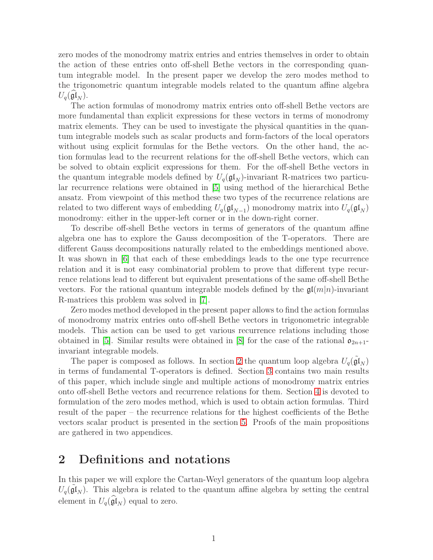zero modes of the monodromy matrix entries and entries themselves in order to obtain the action of these entries onto off-shell Bethe vectors in the corresponding quantum integrable model. In the present paper we develop the zero modes method to the trigonometric quantum integrable models related to the quantum affine algebra  $U_q(\mathfrak{gl}_N).$ 

The action formulas of monodromy matrix entries onto off-shell Bethe vectors are more fundamental than explicit expressions for these vectors in terms of monodromy matrix elements. They can be used to investigate the physical quantities in the quantum integrable models such as scalar products and form-factors of the local operators without using explicit formulas for the Bethe vectors. On the other hand, the action formulas lead to the recurrent relations for the off-shell Bethe vectors, which can be solved to obtain explicit expressions for them. For the off-shell Bethe vectors in the quantum integrable models defined by  $U_q(\mathfrak{gl}_N)$ -invariant R-matrices two particular recurrence relations were obtained in [\[5\]](#page-19-4) using method of the hierarchical Bethe ansatz. From viewpoint of this method these two types of the recurrence relations are related to two different ways of embedding  $U_q(\mathfrak{gl}_{N-1})$  monodromy matrix into  $U_q(\mathfrak{gl}_N)$ monodromy: either in the upper-left corner or in the down-right corner.

To describe off-shell Bethe vectors in terms of generators of the quantum affine algebra one has to explore the Gauss decomposition of the T-operators. There are different Gauss decompositions naturally related to the embeddings mentioned above. It was shown in [\[6\]](#page-19-5) that each of these embeddings leads to the one type recurrence relation and it is not easy combinatorial problem to prove that different type recurrence relations lead to different but equivalent presentations of the same off-shell Bethe vectors. For the rational quantum integrable models defined by the  $\mathfrak{gl}(m|n)$ -invariant R-matrices this problem was solved in [\[7\]](#page-19-6).

Zero modes method developed in the present paper allows to find the action formulas of monodromy matrix entries onto off-shell Bethe vectors in trigonometric integrable models. This action can be used to get various recurrence relations including those obtained in [\[5\]](#page-19-4). Similar results were obtained in [\[8\]](#page-19-7) for the case of the rational  $\mathfrak{o}_{2n+1}$ invariant integrable models.

The paper is composed as follows. In section [2](#page-1-0) the quantum loop algebra  $U_q(\tilde{\mathfrak{gl}}_N)$ in terms of fundamental T-operators is defined. Section [3](#page-5-0) contains two main results of this paper, which include single and multiple actions of monodromy matrix entries onto off-shell Bethe vectors and recurrence relations for them. Section [4](#page-9-0) is devoted to formulation of the zero modes method, which is used to obtain action formulas. Third result of the paper – the recurrence relations for the highest coefficients of the Bethe vectors scalar product is presented in the section [5.](#page-12-0) Proofs of the main propositions are gathered in two appendices.

### <span id="page-1-0"></span>2 Definitions and notations

In this paper we will explore the Cartan-Weyl generators of the quantum loop algebra  $U_q(\tilde{\mathfrak{gl}}_N)$ . This algebra is related to the quantum affine algebra by setting the central element in  $U_q(\mathfrak{gl}_N)$  equal to zero.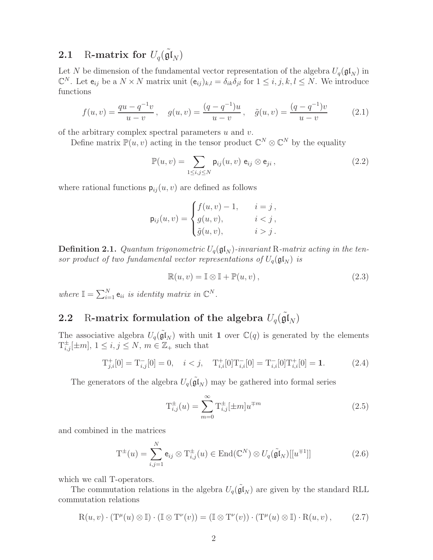# **2.1** R-matrix for  $U_q(\tilde{\mathfrak{gl}}_N)$

Let N be dimension of the fundamental vector representation of the algebra  $U_q(\mathfrak{gl}_N)$  in  $\mathbb{C}^N$ . Let  $e_{ij}$  be a  $N \times N$  matrix unit  $(e_{ij})_{k,l} = \delta_{ik} \delta_{jl}$  for  $1 \leq i, j, k, l \leq N$ . We introduce functions

<span id="page-2-5"></span>
$$
f(u,v) = \frac{qu - q^{-1}v}{u - v}, \quad g(u,v) = \frac{(q - q^{-1})u}{u - v}, \quad \tilde{g}(u,v) = \frac{(q - q^{-1})v}{u - v}
$$
(2.1)

of the arbitrary complex spectral parameters  $u$  and  $v$ .

Define matrix  $\mathbb{P}(u, v)$  acting in the tensor product  $\mathbb{C}^N \otimes \mathbb{C}^N$  by the equality

<span id="page-2-2"></span>
$$
\mathbb{P}(u,v) = \sum_{1 \le i,j \le N} \mathsf{p}_{ij}(u,v) \; \mathsf{e}_{ij} \otimes \mathsf{e}_{ji} \,, \tag{2.2}
$$

where rational functions  $p_{ij}(u, v)$  are defined as follows

$$
\mathsf{p}_{ij}(u,v) = \begin{cases} f(u,v) - 1, & i = j \\ g(u,v), & i < j \\ \tilde{g}(u,v), & i > j \end{cases}
$$

**Definition 2.1.** Quantum trigonometric  $U_q(\mathfrak{gl}_N)$ -invariant R-matrix acting in the tensor product of two fundamental vector representations of  $U_q(\mathfrak{gl}_N)$  is

<span id="page-2-0"></span>
$$
\mathbb{R}(u, v) = \mathbb{I} \otimes \mathbb{I} + \mathbb{P}(u, v), \qquad (2.3)
$$

where  $\mathbb{I} = \sum_{i=1}^{N} \mathbf{e}_{ii}$  is identity matrix in  $\mathbb{C}^{N}$ .

# 2.2 R-matrix formulation of the algebra  $U_q(\tilde{\mathfrak{gl}}_N)$

The associative algebra  $U_q(\tilde{\mathfrak{gl}}_N)$  with unit 1 over  $\mathbb{C}(q)$  is generated by the elements  $T_{i,j}^{\pm}[\pm m], 1 \leq i, j \leq N, m \in \mathbb{Z}_+$  such that

<span id="page-2-4"></span>
$$
T_{j,i}^{+}[0] = T_{i,j}^{-}[0] = 0, \quad i < j, \quad T_{i,i}^{+}[0]T_{i,i}^{-}[0] = T_{i,i}^{-}[0]T_{i,i}^{+}[0] = 1.
$$
 (2.4)

The generators of the algebra  $U_q(\tilde{\mathfrak{gl}}_N)$  may be gathered into formal series

<span id="page-2-1"></span>
$$
T_{i,j}^{\pm}(u) = \sum_{m=0}^{\infty} T_{i,j}^{\pm} [\pm m] u^{\mp m}
$$
 (2.5)

and combined in the matrices

$$
\mathbf{T}^{\pm}(u) = \sum_{i,j=1}^{N} \mathbf{e}_{ij} \otimes \mathbf{T}_{i,j}^{\pm}(u) \in \text{End}(\mathbb{C}^{N}) \otimes U_{q}(\tilde{\mathfrak{gl}}_{N})[[u^{\mp 1}]] \tag{2.6}
$$

which we call T-operators.

The commutation relations in the algebra  $U_q(\tilde{\mathfrak{gl}}_N)$  are given by the standard RLL commutation relations

<span id="page-2-3"></span>
$$
\mathcal{R}(u,v) \cdot (\mathcal{T}^{\mu}(u) \otimes \mathbb{I}) \cdot (\mathbb{I} \otimes \mathcal{T}^{\nu}(v)) = (\mathbb{I} \otimes \mathcal{T}^{\nu}(v)) \cdot (\mathcal{T}^{\mu}(u) \otimes \mathbb{I}) \cdot \mathcal{R}(u,v), \tag{2.7}
$$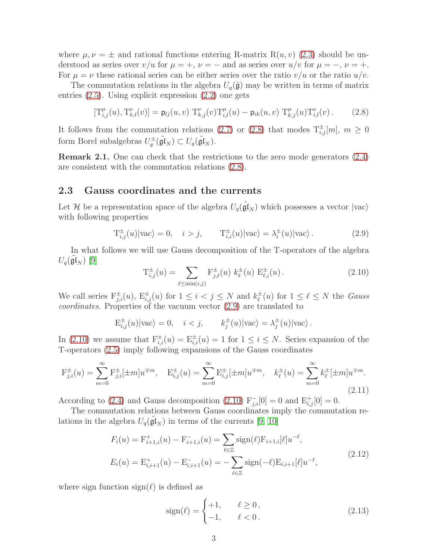where  $\mu, \nu = \pm$  and rational functions entering R-matrix R $(u, v)$  [\(2.3\)](#page-2-0) should be understood as series over  $v/u$  for  $\mu = +$ ,  $\nu = -$  and as series over  $u/v$  for  $\mu = -$ ,  $\nu = +$ . For  $\mu = \nu$  these rational series can be either series over the ratio  $v/u$  or the ratio  $u/v$ .

The commutation relations in the algebra  $U_q(\tilde{\mathfrak{g}})$  may be written in terms of matrix entries [\(2.5\)](#page-2-1). Using explicit expression [\(2.2\)](#page-2-2) one gets

<span id="page-3-0"></span>
$$
[\mathbf{T}_{i,j}^{\mu}(u), \mathbf{T}_{k,l}^{\nu}(v)] = \mathbf{p}_{lj}(u, v) \ \mathbf{T}_{k,j}^{\nu}(v) \mathbf{T}_{i,l}^{\mu}(u) - \mathbf{p}_{ik}(u, v) \ \mathbf{T}_{k,j}^{\mu}(u) \mathbf{T}_{i,l}^{\nu}(v).
$$
 (2.8)

It follows from the commutation relations [\(2.7\)](#page-2-3) or [\(2.8\)](#page-3-0) that modes  $T^{\pm}_{i,j}[m], m \ge 0$ form Borel subalgebras  $U_q^{\pm}(\tilde{\mathfrak{gl}}_N) \subset U_q(\tilde{\mathfrak{gl}}_N)$ .

Remark 2.1. One can check that the restrictions to the zero mode generators [\(2.4\)](#page-2-4) are consistent with the commutation relations [\(2.8\)](#page-3-0).

#### 2.3 Gauss coordinates and the currents

Let H be a representation space of the algebra  $U_q(\tilde{\mathfrak{gl}}_N)$  which possesses a vector  $|{\rm vac}\rangle$ with following properties

<span id="page-3-1"></span>
$$
\mathcal{T}_{i,j}^{\pm}(u)|\text{vac}\rangle = 0, \quad i > j, \qquad \mathcal{T}_{i,i}^{\pm}(u)|\text{vac}\rangle = \lambda_i^{\pm}(u)|\text{vac}\rangle. \tag{2.9}
$$

In what follows we will use Gauss decomposition of the T-operators of the algebra  $U_q(\tilde{\mathfrak{gl}}_N)$  [\[9\]](#page-20-0)

<span id="page-3-2"></span>
$$
T_{i,j}^{\pm}(u) = \sum_{\ell \le \min(i,j)} F_{j,\ell}^{\pm}(u) \; k_{\ell}^{\pm}(u) \; E_{\ell,i}^{\pm}(u) \,. \tag{2.10}
$$

We call series  $F_{j,i}^{\pm}(u)$ ,  $E_{i,j}^{\pm}(u)$  for  $1 \leq i < j \leq N$  and  $k_{\ell}^{\pm}$  $\frac{1}{\ell}(u)$  for  $1 \leq \ell \leq N$  the *Gauss* coordinates. Properties of the vacuum vector [\(2.9\)](#page-3-1) are translated to

$$
E_{i,j}^{\pm}(u)|\text{vac}\rangle = 0, \quad i < j, \qquad k_j^{\pm}(u)|\text{vac}\rangle = \lambda_j^{\pm}(u)|\text{vac}\rangle.
$$

In [\(2.10\)](#page-3-2) we assume that  $F_{i,i}^{\pm}(u) = E_{i,i}^{\pm}(u) = 1$  for  $1 \leq i \leq N$ . Series expansion of the T-operators [\(2.5\)](#page-2-1) imply following expansions of the Gauss coordinates

$$
F_{j,i}^{\pm}(u) = \sum_{m=0}^{\infty} F_{j,i}^{\pm} [\pm m] u^{\mp m}, \quad E_{i,j}^{\pm}(u) = \sum_{m=0}^{\infty} E_{i,j}^{\pm} [\pm m] u^{\mp m}, \quad k_{\ell}^{\pm}(u) = \sum_{m=0}^{\infty} k_{\ell}^{\pm} [\pm m] u^{\mp m}.
$$
\n(2.11)

According to [\(2.4\)](#page-2-4) and Gauss decomposition [\(2.10\)](#page-3-2)  $F_{j,i}^{-}[0] = 0$  and  $E_{i,j}^{+}[0] = 0$ .

The commutation relations between Gauss coordinates imply the commutation relations in the algebra  $U_q(\tilde{\mathfrak{gl}}_N)$  in terms of the currents [\[9,](#page-20-0) [10\]](#page-20-1)

$$
F_i(u) = \mathbf{F}_{i+1,i}^+(u) - \mathbf{F}_{i+1,i}^-(u) = \sum_{\ell \in \mathbb{Z}} \text{sign}(\ell) \mathbf{F}_{i+1,i}[\ell] u^{-\ell},
$$
  
\n
$$
E_i(u) = \mathbf{E}_{i,i+1}^+(u) - \mathbf{E}_{i,i+1}^-(u) = -\sum_{\ell \in \mathbb{Z}} \text{sign}(-\ell) \mathbf{E}_{i,i+1}[\ell] u^{-\ell},
$$
\n(2.12)

<span id="page-3-3"></span>where sign function  $sign(\ell)$  is defined as

$$
sign(\ell) = \begin{cases} +1, & \ell \ge 0, \\ -1, & \ell < 0. \end{cases}
$$
 (2.13)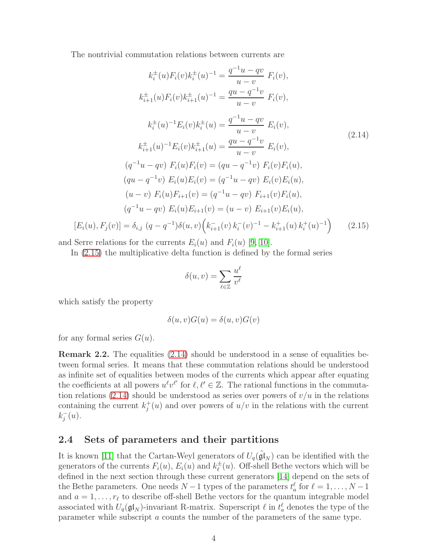The nontrivial commutation relations between currents are

<span id="page-4-1"></span>
$$
k_i^{\pm}(u)F_i(v)k_i^{\pm}(u)^{-1} = \frac{q^{-1}u - qv}{u - v} F_i(v),
$$
  
\n
$$
k_{i+1}^{\pm}(u)F_i(v)k_{i+1}^{\pm}(u)^{-1} = \frac{qu - q^{-1}v}{u - v} F_i(v),
$$
  
\n
$$
k_i^{\pm}(u)^{-1}E_i(v)k_i^{\pm}(u) = \frac{q^{-1}u - qv}{u - v} E_i(v),
$$
  
\n
$$
k_{i+1}^{\pm}(u)^{-1}E_i(v)k_{i+1}^{\pm}(u) = \frac{qu - q^{-1}v}{u - v} E_i(v),
$$
  
\n
$$
(q^{-1}u - qv) F_i(u)F_i(v) = (qu - q^{-1}v) F_i(v)F_i(u),
$$
  
\n
$$
(qu - q^{-1}v) E_i(u)E_i(v) = (q^{-1}u - qv) E_i(v)E_i(u),
$$
  
\n
$$
(u - v) F_i(u)F_{i+1}(v) = (q^{-1}u - qv) F_{i+1}(v)F_i(u),
$$
  
\n
$$
(q^{-1}u - qv) E_i(u)E_{i+1}(v) = (u - v) E_{i+1}(v)E_i(u),
$$
  
\n
$$
[E_i(u), F_j(v)] = \delta_{i,j} (q - q^{-1})\delta(u, v) (k_{i+1}^-(v)k_i(v)^{-1} - k_{i+1}^+(u)k_i^+(u)^{-1})
$$
 (2.15)

<span id="page-4-0"></span>and Serre relations for the currents  $E_i(u)$  and  $F_i(u)$  [\[9,](#page-20-0) [10\]](#page-20-1).

In [\(2.15\)](#page-4-0) the multiplicative delta function is defined by the formal series

$$
\delta(u,v) = \sum_{\ell \in \mathbb{Z}} \frac{u^{\ell}}{v^{\ell}}
$$

which satisfy the property

$$
\delta(u, v)G(u) = \delta(u, v)G(v)
$$

for any formal series  $G(u)$ .

Remark 2.2. The equalities [\(2.14\)](#page-4-1) should be understood in a sense of equalities between formal series. It means that these commutation relations should be understood as infinite set of equalities between modes of the currents which appear after equating the coefficients at all powers  $u^{\ell}v^{\ell'}$  for  $\ell, \ell' \in \mathbb{Z}$ . The rational functions in the commuta-tion relations [\(2.14\)](#page-4-1) should be understood as series over powers of  $v/u$  in the relations containing the current  $k_j^+(u)$  and over powers of  $u/v$  in the relations with the current  $k_j^{-}(u)$ .

#### 2.4 Sets of parameters and their partitions

It is known [\[11\]](#page-20-2) that the Cartan-Weyl generators of  $U_q(\tilde{\mathfrak{gl}}_N)$  can be identified with the generators of the currents  $F_i(u)$ ,  $E_i(u)$  and  $k_{\ell}^{\pm}$  $\frac{1}{\ell}(u)$ . Off-shell Bethe vectors which will be defined in the next section through these current generators [\[14\]](#page-20-3) depend on the sets of the Bethe parameters. One needs  $N-1$  types of the parameters  $t_a^{\ell}$  for  $\ell = 1, \ldots, N-1$ and  $a = 1, \ldots, r_{\ell}$  to describe off-shell Bethe vectors for the quantum integrable model associated with  $U_q(\mathfrak{gl}_N)$ -invariant R-matrix. Superscript  $\ell$  in  $t_a^{\ell}$  denotes the type of the parameter while subscript a counts the number of the parameters of the same type.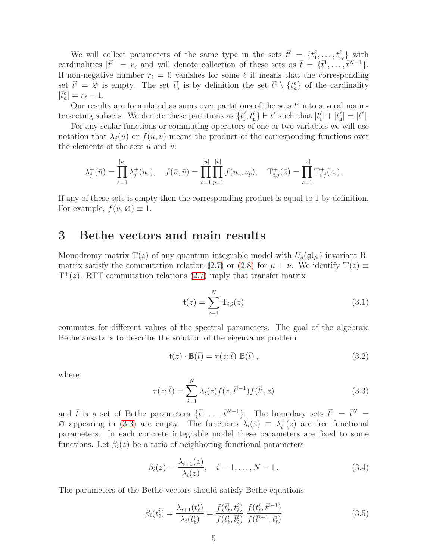We will collect parameters of the same type in the sets  $\bar{t}^{\ell} = \{t_1^{\ell}, \ldots, t_{r_{\ell}}^{\ell}\}\$  with cardinalities  $|\bar{t}^{\ell}| = r_{\ell}$  and will denote collection of these sets as  $\bar{t} = {\bar{t}^1, \ldots, \bar{t}^{N-1}}.$ If non-negative number  $r_\ell = 0$  vanishes for some  $\ell$  it means that the corresponding set  $\bar{t}^{\ell} = \varnothing$  is empty. The set  $\bar{t}^{\ell}_{a}$  is by definition the set  $\bar{t}^{\ell} \setminus \{t^{\ell}_{a}\}\$  of the cardinality  $|\bar{t}_a^{\ell}| = r_{\ell} - 1.$ 

Our results are formulated as sums over partitions of the sets  $\bar{t}^{\ell}$  into several nonintersecting subsets. We denote these partitions as  $\{\bar{t}_i^{\ell}, \bar{t}_n^{\ell}\} \vdash \bar{t}^{\ell}$  such that  $|\bar{t}_1^{\ell}| + |\bar{t}_1^{\ell}| = |\bar{t}^{\ell}|$ .

For any scalar functions or commuting operators of one or two variables we will use notation that  $\lambda_i(\bar{u})$  or  $f(\bar{u}, \bar{v})$  means the product of the corresponding functions over the elements of the sets  $\bar{u}$  and  $\bar{v}$ :

$$
\lambda_j^+(\bar{u}) = \prod_{s=1}^{|\bar{u}|} \lambda_j^+(u_s), \quad f(\bar{u}, \bar{v}) = \prod_{s=1}^{|\bar{u}|} \prod_{p=1}^{|\bar{v}|} f(u_s, v_p), \quad T^+_{i,j}(\bar{z}) = \prod_{s=1}^{|\bar{z}|} T^+_{i,j}(z_s).
$$

If any of these sets is empty then the corresponding product is equal to 1 by definition. For example,  $f(\bar{u}, \varnothing) \equiv 1$ .

### <span id="page-5-0"></span>3 Bethe vectors and main results

Monodromy matrix T(z) of any quantum integrable model with  $U_q(\mathfrak{gl}_N)$ -invariant R-matrix satisfy the commutation relation [\(2.7\)](#page-2-3) or [\(2.8\)](#page-3-0) for  $\mu = \nu$ . We identify  $T(z) \equiv$  $T^+(z)$ . RTT commutation relations [\(2.7\)](#page-2-3) imply that transfer matrix

$$
t(z) = \sum_{i=1}^{N} T_{i,i}(z)
$$
 (3.1)

commutes for different values of the spectral parameters. The goal of the algebraic Bethe ansatz is to describe the solution of the eigenvalue problem

<span id="page-5-2"></span>
$$
\mathfrak{t}(z) \cdot \mathbb{B}(\bar{t}) = \tau(z; \bar{t}) \mathbb{B}(\bar{t}), \qquad (3.2)
$$

where

<span id="page-5-1"></span>
$$
\tau(z;\bar{t}) = \sum_{i=1}^{N} \lambda_i(z) f(z, \bar{t}^{i-1}) f(\bar{t}^i, z)
$$
\n(3.3)

and  $\bar{t}$  is a set of Bethe parameters  $\{\bar{t}^1,\ldots,\bar{t}^{N-1}\}$ . The boundary sets  $\bar{t}^0 = \bar{t}^N =$  $\varnothing$  appearing in [\(3.3\)](#page-5-1) are empty. The functions  $\lambda_i(z) \equiv \lambda_i^+(z)$  are free functional parameters. In each concrete integrable model these parameters are fixed to some functions. Let  $\beta_i(z)$  be a ratio of neighboring functional parameters

$$
\beta_i(z) = \frac{\lambda_{i+1}(z)}{\lambda_i(z)}, \quad i = 1, \dots, N - 1.
$$
\n(3.4)

The parameters of the Bethe vectors should satisfy Bethe equations

$$
\beta_i(t^i_\ell) = \frac{\lambda_{i+1}(t^i_\ell)}{\lambda_i(t^i_\ell)} = \frac{f(\bar{t}^i_\ell, t^i_\ell)}{f(t^i_\ell, \bar{t}^i_\ell)} \; \frac{f(t^i_\ell, \bar{t}^{i-1})}{f(\bar{t}^{i+1}, t^i_\ell)} \tag{3.5}
$$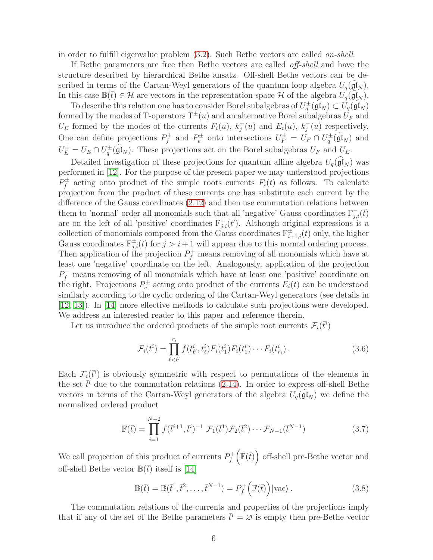in order to fulfill eigenvalue problem [\(3.2\)](#page-5-2). Such Bethe vectors are called on-shell.

If Bethe parameters are free then Bethe vectors are called off-shell and have the structure described by hierarchical Bethe ansatz. Off-shell Bethe vectors can be described in terms of the Cartan-Weyl generators of the quantum loop algebra  $U_q(\tilde{\mathfrak{gl}}_N)$ . In this case  $\mathbb{B}(\bar{t}) \in \mathcal{H}$  are vectors in the representation space H of the algebra  $U_q(\tilde{\mathfrak{gl}}_N)$ .

To describe this relation one has to consider Borel subalgebras of  $U_q^{\pm}(\tilde{\mathfrak{gl}}_N) \subset U_q(\tilde{\mathfrak{gl}}_N)$ formed by the modes of T-operators  $T^{\pm}(u)$  and an alternative Borel subalgebras  $U_F$  and  $U_E$  formed by the modes of the currents  $F_i(u)$ ,  $k_j^+(u)$  and  $E_i(u)$ ,  $k_j^-(u)$  respectively. One can define projections  $P_f^{\pm}$  $U_f^{\pm}$  and  $P_e^{\pm}$  onto intersections  $U_F^{\pm} = U_F \cap U_q^{\pm}(\tilde{\mathfrak{gl}}_N)$  and  $U_E^{\pm} = U_E \cap U_q^{\pm}(\tilde{\mathfrak{gl}}_N)$ . These projections act on the Borel subalgebras  $U_F$  and  $U_E$ .

Detailed investigation of these projections for quantum affine algebra  $U_q(\mathfrak{gl}_N)$  was performed in [\[12\]](#page-20-4). For the purpose of the present paper we may understood projections  $P_f^{\pm}$  $f_f^{\pm}$  acting onto product of the simple roots currents  $F_i(t)$  as follows. To calculate projection from the product of these currents one has substitute each current by the difference of the Gauss coordinates [\(2.12\)](#page-3-3) and then use commutation relations between them to 'normal' order all monomials such that all 'negative' Gauss coordinates  $F_{j,i}(t)$ are on the left of all 'positive' coordinates  $F_{j,i}^+(t')$ . Although original expressions is a collection of monomials composed from the Gauss coordinates  $F_{i+1,i}^{\pm}(t)$  only, the higher Gauss coordinates  $F_{j,i}^{\pm}(t)$  for  $j > i+1$  will appear due to this normal ordering process. Then application of the projection  $P_f^+$  means removing of all monomials which have at least one 'negative' coordinate on the left. Analogously, application of the projection  $P_f^-$  means removing of all monomials which have at least one 'positive' coordinate on the right. Projections  $P_e^{\pm}$  acting onto product of the currents  $E_i(t)$  can be understood similarly according to the cyclic ordering of the Cartan-Weyl generators (see details in [\[12,](#page-20-4) [13\]](#page-20-5)). In [\[14\]](#page-20-3) more effective methods to calculate such projections were developed. We address an interested reader to this paper and reference therein.

Let us introduce the ordered products of the simple root currents  $\mathcal{F}_i(\vec{t})$ 

$$
\mathcal{F}_i(\vec{t}^i) = \prod_{\ell \le \ell'}^{r_i} f(t^i_{\ell'}, t^i_{\ell}) F_i(t^i_1) F_i(t^i_1) \cdots F_i(t^i_{r_i}). \tag{3.6}
$$

Each  $\mathcal{F}_i(\bar{t}^i)$  is obviously symmetric with respect to permutations of the elements in the set  $\bar{t}^i$  due to the commutation relations [\(2.14\)](#page-4-1). In order to express off-shell Bethe vectors in terms of the Cartan-Weyl generators of the algebra  $U_q(\tilde{\mathfrak{gl}}_N)$  we define the normalized ordered product

$$
\mathbb{F}(\bar{t}) = \prod_{i=1}^{N-2} f(\bar{t}^{i+1}, \bar{t}^i)^{-1} \mathcal{F}_1(\bar{t}^1) \mathcal{F}_2(\bar{t}^2) \cdots \mathcal{F}_{N-1}(\bar{t}^{N-1})
$$
(3.7)

We call projection of this product of currents  $P_f^+$ f  $\left(\mathbb{F}(\bar{t})\right)$  off-shell pre-Bethe vector and off-shell Bethe vector  $\mathbb{B}(\bar{t})$  itself is [\[14\]](#page-20-3)

<span id="page-6-0"></span>
$$
\mathbb{B}(\bar{t}) = \mathbb{B}(\bar{t}^1, \bar{t}^2, \dots, \bar{t}^{N-1}) = P_f^+\left(\mathbb{F}(\bar{t})\right)|\text{vac}\rangle. \tag{3.8}
$$

The commutation relations of the currents and properties of the projections imply that if any of the set of the Bethe parameters  $\bar{t}^i = \emptyset$  is empty then pre-Bethe vector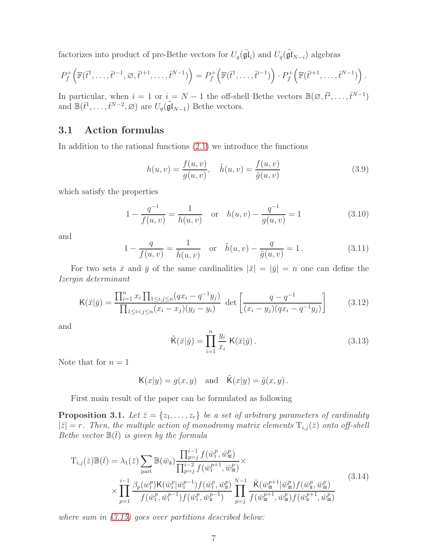factorizes into product of pre-Bethe vectors for  $U_q(\tilde{\mathfrak{gl}}_i)$  and  $U_q(\tilde{\mathfrak{gl}}_{N-i})$  algebras

$$
P_f^+\Big(\mathbb{F}(\bar{t}^1,\ldots,\bar{t}^{i-1},\varnothing,\bar{t}^{i+1},\ldots,\bar{t}^{N-1})\Big) = P_f^+\Big(\mathbb{F}(\bar{t}^1,\ldots,\bar{t}^{i-1})\Big) \cdot P_f^+\Big(\mathbb{F}(\bar{t}^{i+1},\ldots,\bar{t}^{N-1})\Big).
$$

In particular, when  $i = 1$  or  $i = N - 1$  the off-shell Bethe vectors  $\mathbb{B}(\emptyset, \bar{t}^2, \ldots, \bar{t}^{N-1})$ and  $\mathbb{B}(\bar{t}^1,\ldots,\bar{t}^{N-2},\varnothing)$  are  $U_q(\tilde{\mathfrak{gl}}_{N-1})$  Bethe vectors.

#### 3.1 Action formulas

In addition to the rational functions  $(2.1)$  we introduce the functions

$$
h(u, v) = \frac{f(u, v)}{g(u, v)}, \quad \tilde{h}(u, v) = \frac{f(u, v)}{\tilde{g}(u, v)}
$$
(3.9)

which satisfy the properties

<span id="page-7-2"></span>
$$
1 - \frac{q^{-1}}{f(u, v)} = \frac{1}{h(u, v)} \quad \text{or} \quad h(u, v) - \frac{q^{-1}}{g(u, v)} = 1 \tag{3.10}
$$

and

<span id="page-7-3"></span>
$$
1 - \frac{q}{f(u, v)} = \frac{1}{\tilde{h}(u, v)} \quad \text{or} \quad \tilde{h}(u, v) - \frac{q}{\tilde{g}(u, v)} = 1. \tag{3.11}
$$

For two sets  $\bar{x}$  and  $\bar{y}$  of the same cardinalities  $|\bar{x}| = |\bar{y}| = n$  one can define the Izergin determinant

<span id="page-7-1"></span>
$$
\mathsf{K}(\bar{x}|\bar{y}) = \frac{\prod_{i=1}^{n} x_i \prod_{1 \le i, j \le n} (qx_i - q^{-1}y_j)}{\prod_{1 \le i < j \le n} (x_i - x_j)(y_j - y_i)} \det \left[ \frac{q - q^{-1}}{(x_i - y_j)(qx_i - q^{-1}y_j)} \right] \tag{3.12}
$$

and

$$
\tilde{\mathsf{K}}(\bar{x}|\bar{y}) = \prod_{i=1}^{n} \frac{y_i}{x_i} \; \mathsf{K}(\bar{x}|\bar{y}) \,. \tag{3.13}
$$

Note that for  $n = 1$ 

$$
\mathsf{K}(x|y) = g(x, y) \quad \text{and} \quad \tilde{\mathsf{K}}(x|y) = \tilde{g}(x, y) .
$$

First main result of the paper can be formulated as following

<span id="page-7-0"></span>**Proposition 3.1.** Let  $\bar{z} = \{z_1, \ldots, z_r\}$  be a set of arbitrary parameters of cardinality  $|\bar{z}| = r$ . Then, the multiple action of monodromy matrix elements  $T_{i,j}(\bar{z})$  onto off-shell Bethe vector  $\mathbb{B}(\bar{t})$  is given by the formula

$$
T_{i,j}(\bar{z})\mathbb{B}(\bar{t}) = \lambda_1(\bar{z}) \sum_{\text{part}} \mathbb{B}(\bar{w}_{\text{I}}) \frac{\prod_{p=j}^{i-1} f(\bar{w}_{\text{I}}^p, \bar{w}_{\text{I}}^p)}{\prod_{p=j}^{i-2} f(\bar{w}_{\text{I}}^{p+1}, \bar{w}_{\text{I}}^p)} \times \times \prod_{p=1}^{i-1} \frac{\beta_p(w_{\text{I}}^p) \mathsf{K}(\bar{w}_{\text{I}}^p | \bar{w}_{\text{I}}^{p-1}) f(\bar{w}_{\text{I}}^p, \bar{w}_{\text{I}}^p)}{f(\bar{w}_{\text{I}}^p, \bar{w}_{\text{I}}^{p-1}) f(\bar{w}_{\text{I}}^p, \bar{w}_{\text{I}}^p)} \prod_{p=j}^{N-1} \frac{\tilde{\mathsf{K}}(\bar{w}_{\text{I}}^p + \mathbb{I}|\bar{w}_{\text{I}}^p) f(\bar{w}_{\text{I}}^p, \bar{w}_{\text{I}}^p)}{f(\bar{w}_{\text{I}}^{p+1}, \bar{w}_{\text{I}}^p) f(\bar{w}_{\text{I}}^p, \bar{w}_{\text{I}}^p)}
$$
\n(3.14)

where sum in  $(3.15)$  goes over partitions described below: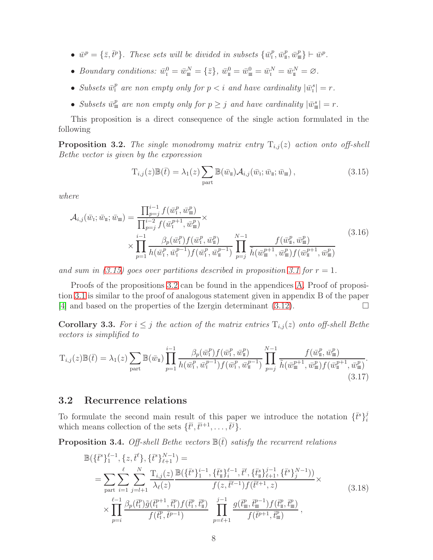- $\bar{w}^p = {\bar{z}, \bar{t}^p}$ . These sets will be divided in subsets  ${\bar{w}^p_{\scriptscriptstyle \rm I}}$ ,  ${\bar{w}^p_{\scriptscriptstyle \rm I}}$ ,  ${\bar{w}^p_{\scriptscriptstyle \rm I}}$ ,  ${\bar{w}^p_{\scriptscriptstyle \rm I}}$ ,  ${\bar{w}^p_{\scriptscriptstyle \rm I}}$ ,  ${\bar{w}^p_{\scriptscriptstyle \rm I}}$ .
- Boundary conditions:  $\bar{w}_I^0 = \bar{w}_{\overline{\mathfrak{m}}}^N = \{\bar{z}\}, \ \bar{w}_{\overline{\mathfrak{m}}}^0 = \bar{w}_{\overline{\mathfrak{m}}}^0 = \bar{w}_{\overline{\mathfrak{l}}}^N = \bar{w}_{\overline{\mathfrak{l}}}^N = \emptyset.$
- Subsets  $\bar{w}_i^p$  are non empty only for  $p < i$  and have cardinality  $|\bar{w}_i^s| = r$ .
- Subsets  $\bar{w}^p_{\mathfrak{m}}$  are non empty only for  $p \geq j$  and have cardinality  $|\bar{w}^s_{\mathfrak{m}}| = r$ .

This proposition is a direct consequence of the single action formulated in the following

<span id="page-8-1"></span>**Proposition 3.2.** The single monodromy matrix entry  $T_{i,j}(z)$  action onto off-shell Bethe vector is given by the exporession

<span id="page-8-0"></span>
$$
T_{i,j}(z)\mathbb{B}(\bar{t}) = \lambda_1(z) \sum_{\text{part}} \mathbb{B}(\bar{w}_{\mathbb{I}}) \mathcal{A}_{i,j}(\bar{w}_{\mathbb{I}}; \bar{w}_{\mathbb{I}}; \bar{w}_{\mathbb{I}}), \qquad (3.15)
$$

where

$$
\mathcal{A}_{i,j}(\bar{w}_{\mathrm{I}}; \bar{w}_{\mathrm{II}}; \bar{w}_{\mathrm{III}}) = \frac{\prod_{p=j}^{i-1} f(\bar{w}_{\mathrm{I}}^p, \bar{w}_{\mathrm{III}}^p)}{\prod_{p=j}^{i-2} f(\bar{w}_{\mathrm{I}}^{p+1}, \bar{w}_{\mathrm{III}}^p)} \times \frac{\prod_{p=j}^{i-1} \beta_p(\bar{w}_{\mathrm{I}}^p, \bar{w}_{\mathrm{II}}^p)}{\prod_{p=1}^{i-1} h(\bar{w}_{\mathrm{I}}^p, \bar{w}_{\mathrm{I}}^{p-1}) f(\bar{w}_{\mathrm{I}}^p, \bar{w}_{\mathrm{II}}^{p-1})} \prod_{p=j}^{N-1} \frac{f(\bar{w}_{\mathrm{II}}^p, \bar{w}_{\mathrm{III}}^p)}{\tilde{h}(\bar{w}_{\mathrm{III}}^{p+1}, \bar{w}_{\mathrm{III}}^p) f(\bar{w}_{\mathrm{I}}^{p+1}, \bar{w}_{\mathrm{III}}^p)}
$$
\n(3.16)

and sum in [\(3.15\)](#page-8-0) goes over partitions described in proposition [3.1](#page-7-0) for  $r = 1$ .

Proofs of the propositions [3.2](#page-8-1) can be found in the appendices [A.](#page-16-0) Proof of proposition [3.1](#page-7-0) is similar to the proof of analogous statement given in appendix B of the paper [\[4\]](#page-19-3) and based on the properties of the Izergin determinant  $(3.12)$ .

**Corollary 3.3.** For  $i \leq j$  the action of the matrix entries  $T_{i,j}(z)$  onto off-shell Bethe vectors is simplified to

<span id="page-8-4"></span>
$$
T_{i,j}(z) \mathbb{B}(\bar{t}) = \lambda_1(z) \sum_{\text{part}} \mathbb{B}(\bar{w}_{\text{I}}) \prod_{p=1}^{i-1} \frac{\beta_p(\bar{w}_{\text{I}}^p) f(\bar{w}_{\text{I}}^p, \bar{w}_{\text{I}}^p)}{h(\bar{w}_{\text{I}}^p, \bar{w}_{\text{I}}^{p-1}) f(\bar{w}_{\text{I}}^p, \bar{w}_{\text{I}}^{p-1})} \prod_{p=j}^{N-1} \frac{f(\bar{w}_{\text{I}}^p, \bar{w}_{\text{I}}^p)}{\tilde{h}(\bar{w}_{\text{I}}^{p+1}, \bar{w}_{\text{I}}^p) f(\bar{w}_{\text{I}}^{p+1}, \bar{w}_{\text{I}}^p)}.
$$
\n(3.17)

#### 3.2 Recurrence relations

To formulate the second main result of this paper we introduce the notation  $\{\bar{t}^s\}_{i=1}^j$ Fo formulate the second main result of this paper we introduce the hotation  $\{t^i f_i$ <br>which means collection of the sets  $\{\bar{t}^i, \bar{t}^{i+1}, \ldots, \bar{t}^j\}$ .

<span id="page-8-2"></span>**Proposition 3.4.** Off-shell Bethe vectors  $\mathbb{B}(\bar{t})$  satisfy the recurrent relations

<span id="page-8-3"></span>
$$
\mathbb{B}(\{\bar{t}^{s}\}_{1}^{\ell-1}, \{z, \bar{t}^{l}\}, \{\bar{t}^{s}\}_{\ell+1}^{N-1}) =
$$
\n
$$
= \sum_{\text{part}} \sum_{i=1}^{\ell} \sum_{j=l+1}^{N} \frac{T_{i,j}(z)}{\lambda_{\ell}(z)} \frac{\mathbb{B}(\{\bar{t}^{s}\}_{1}^{i-1}, \{\bar{t}^{s}\}_{i}^{\ell-1}, \bar{t}^{l}, \{\bar{t}^{s}\}_{i}^{j-1}, \{\bar{t}^{s}\}_{j}^{N-1}))}{f(z, \bar{t}^{l-1})f(\bar{t}^{l+1}, z)} \times
$$
\n
$$
\times \prod_{p=i}^{\ell-1} \frac{\beta_{p}(\bar{t}_{1}^{p})\tilde{g}(\bar{t}_{1}^{p+1}, \bar{t}_{1}^{p})f(\bar{t}_{1}^{p}, \bar{t}_{1}^{p})}{f(\bar{t}_{1}^{p}, \bar{t}^{p-1})} \prod_{p=\ell+1}^{j-1} \frac{g(\bar{t}_{m}^{p}, \bar{t}_{m}^{p-1})f(\bar{t}_{m}^{p}, \bar{t}_{m}^{p})}{f(\bar{t}^{p+1}, \bar{t}_{m}^{p})},
$$
\n(3.18)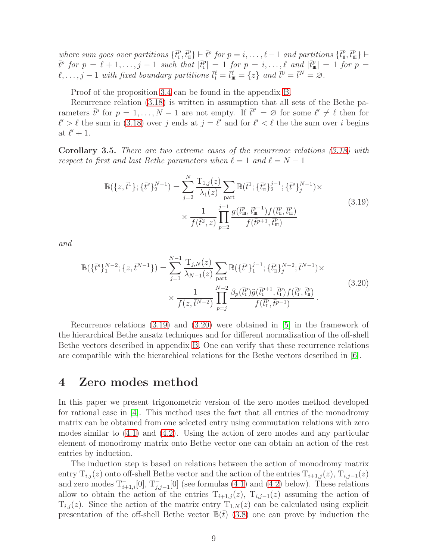where sum goes over partitions  $\{\bar{t}_1^p, \bar{t}_1^p\} \vdash \bar{t}^p$  for  $p = i, \ldots, \ell - 1$  and partitions  $\{\bar{t}_1^p, \bar{t}_1^p\} \vdash$  $\bar{t}^p$  for  $p = \ell + 1, \ldots, j - 1$  such that  $|\bar{t}_1^p| = 1$  for  $p = i, \ldots, \ell$  and  $|\bar{t}_{\mathfrak{m}}^p| = 1$  for  $p = i$  $\ell, \ldots, j-1$  with fixed boundary partitions  $\bar{t}_I^{\ell} = \bar{t}_I^{\ell} = \{z\}$  and  $\bar{t}^0 = \bar{t}^N = \varnothing$ .

Proof of the proposition [3.4](#page-8-2) can be found in the appendix [B.](#page-17-0)

Recurrence relation [\(3.18\)](#page-8-3) is written in assumption that all sets of the Bethe parameters  $\bar{t}^p$  for  $p = 1, \ldots, N-1$  are not empty. If  $\bar{t}^{\ell'} = \varnothing$  for some  $\ell' \neq \ell$  then for  $\ell' > \ell$  the sum in [\(3.18\)](#page-8-3) over j ends at  $j = \ell'$  and for  $\ell' < \ell$  the the sum over i begins at  $\ell'+1$ .

<span id="page-9-3"></span>Corollary 3.5. There are two extreme cases of the recurrence relations [\(3.18\)](#page-8-3) with respect to first and last Bethe parameters when  $\ell = 1$  and  $\ell = N - 1$ 

$$
\mathbb{B}(\{z,\bar{t}^{1}\};\{\bar{t}^{s}\}_{2}^{N-1}) = \sum_{j=2}^{N} \frac{T_{1,j}(z)}{\lambda_{1}(z)} \sum_{\text{part}} \mathbb{B}(\bar{t}^{1};\{\bar{t}^{s}_{\text{n}}\}_{2}^{j-1};\{\bar{t}^{s}\}_{j}^{N-1}) \times \frac{1}{f(\bar{t}^{2},z)} \prod_{p=2}^{j-1} \frac{g(\bar{t}^{p}_{\text{m}},\bar{t}^{p-1}_{\text{m}})f(\bar{t}^{p}_{\text{n}},\bar{t}^{p}_{\text{m}})}{f(\bar{t}^{p+1},\bar{t}^{p}_{\text{m}})}
$$
\n(3.19)

<span id="page-9-1"></span>and

<span id="page-9-2"></span>
$$
\mathbb{B}(\{\bar{t}^{s}\}_{1}^{N-2}; \{z, \bar{t}^{N-1}\}) = \sum_{j=1}^{N-1} \frac{T_{j,N}(z)}{\lambda_{N-1}(z)} \sum_{\text{part}} \mathbb{B}(\{\bar{t}^{s}\}_{1}^{j-1}; \{\bar{t}^{s}_{\text{n}}\}_{j}^{N-2}; \bar{t}^{N-1}) \times \frac{1}{f(z, \bar{t}^{N-2})} \prod_{p=j}^{N-2} \frac{\beta_{p}(\bar{t}^{p}_{1}) \tilde{g}(\bar{t}^{p+1}_{1}, \bar{t}^{p}_{1}) f(\bar{t}^{p}_{1}, \bar{t}^{p}_{\text{n}})}{f(\bar{t}^{p}_{1}, \bar{t}^{p-1})}.
$$
\n(3.20)

Recurrence relations [\(3.19\)](#page-9-1) and [\(3.20\)](#page-9-2) were obtained in [\[5\]](#page-19-4) in the framework of the hierarchical Bethe ansatz techniques and for different normalization of the off-shell Bethe vectors described in appendix [B.](#page-17-0) One can verify that these recurrence relations are compatible with the hierarchical relations for the Bethe vectors described in [\[6\]](#page-19-5).

### <span id="page-9-0"></span>4 Zero modes method

In this paper we present trigonometric version of the zero modes method developed for rational case in  $[4]$ . This method uses the fact that all entries of the monodromy matrix can be obtained from one selected entry using commutation relations with zero modes similar to [\(4.1\)](#page-10-0) and [\(4.2\)](#page-10-1). Using the action of zero modes and any particular element of monodromy matrix onto Bethe vector one can obtain an action of the rest entries by induction.

The induction step is based on relations between the action of monodromy matrix entry  $T_{i,j}(z)$  onto off-shell Bethe vector and the action of the entries  $T_{i+1,j}(z)$ ,  $T_{i,j-1}(z)$ and zero modes  $T_{i+1,i}^{-}[0], T_{j,j-1}^{-}[0]$  (see formulas [\(4.1\)](#page-10-0) and [\(4.2\)](#page-10-1) below). These relations allow to obtain the action of the entries  $T_{i+1,j}(z)$ ,  $T_{i,j-1}(z)$  assuming the action of  $T_{i,j}(z)$ . Since the action of the matrix entry  $T_{1,N}(z)$  can be calculated using explicit presentation of the off-shell Bethe vector  $\mathbb{B}(t)$  [\(3.8\)](#page-6-0) one can prove by induction the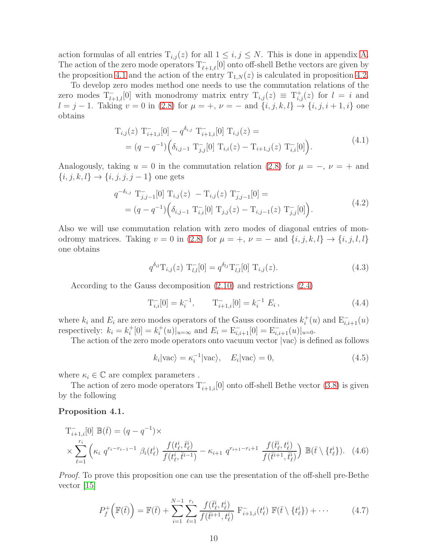action formulas of all entries  $T_{i,j}(z)$  for all  $1 \leq i,j \leq N$ . This is done in appendix [A.](#page-16-0) The action of the zero mode operators  $T_{\ell+1,\ell}^{-}[0]$  onto off-shell Bethe vectors are given by the proposition [4.1](#page-10-2) and the action of the entry  $T_{1,N}(z)$  is calculated in proposition [4.2.](#page-11-0)

To develop zero modes method one needs to use the commutation relations of the zero modes  $T_{l+1,l}^{-}[0]$  with monodromy matrix entry  $T_{i,j}(z) \equiv T_{i,j}^{+}(z)$  for  $l = i$  and  $l = j - 1$ . Taking  $v = 0$  in [\(2.8\)](#page-3-0) for  $\mu = +, \nu = -$  and  $\{i, j, k, l\} \rightarrow \{i, j, i + 1, i\}$  one obtains

$$
T_{i,j}(z) T_{i+1,i}^{-}[0] - q^{\delta_{i,j}} T_{i+1,i}^{-}[0] T_{i,j}(z) =
$$
  
=  $(q - q^{-1}) \Big( \delta_{i,j-1} T_{j,j}^{-}[0] T_{i,i}(z) - T_{i+1,j}(z) T_{i,i}^{-}[0] \Big).$  (4.1)

<span id="page-10-0"></span>Analogously, taking  $u = 0$  in the commutation relation [\(2.8\)](#page-3-0) for  $\mu = -$ ,  $\nu = +$  and  $\{i, j, k, l\} \rightarrow \{i, j, j, j - 1\}$  one gets

$$
q^{-\delta_{i,j}} \mathcal{T}_{j,j-1}^{-}[0] \mathcal{T}_{i,j}(z) - \mathcal{T}_{i,j}(z) \mathcal{T}_{j,j-1}^{-}[0] =
$$
  
=  $(q - q^{-1}) \Big( \delta_{i,j-1} \mathcal{T}_{i,i}^{-}[0] \mathcal{T}_{j,j}(z) - \mathcal{T}_{i,j-1}(z) \mathcal{T}_{j,j}^{-}[0] \Big).$  (4.2)

<span id="page-10-1"></span>Also we will use commutation relation with zero modes of diagonal entries of monodromy matrices. Taking  $v = 0$  in [\(2.8\)](#page-3-0) for  $\mu = +, \nu = -$  and  $\{i, j, k, l\} \rightarrow \{i, j, l, l\}$ one obtains

$$
q^{\delta_{il}}\mathcal{T}_{i,j}(z)\ \mathcal{T}_{l,l}^{-}[0] = q^{\delta_{lj}}\mathcal{T}_{l,l}^{-}[0]\ \mathcal{T}_{i,j}(z). \tag{4.3}
$$

<span id="page-10-3"></span>According to the Gauss decomposition [\(2.10\)](#page-3-2) and restrictions [\(2.4\)](#page-2-4)

<span id="page-10-4"></span>
$$
T_{i,i}^{-}[0] = k_i^{-1}, \qquad T_{i+1,i}^{-}[0] = k_i^{-1} E_i, \qquad (4.4)
$$

where  $k_i$  and  $E_i$  are zero modes operators of the Gauss coordinates  $k_i^+(u)$  and  $\mathbf{E}_{i,i+1}^-(u)$ respectively:  $k_i = k_i^+[0] = k_i^+(u)|_{u=\infty}$  and  $E_i = \mathbb{E}_{i,i+1}^{-}[0] = \mathbb{E}_{i,i+1}^{-}(u)|_{u=0}$ .

The action of the zero mode operators onto vacuum vector  $|vac\rangle$  is defined as follows

<span id="page-10-7"></span><span id="page-10-5"></span>
$$
k_i|\text{vac}\rangle = \kappa_i^{-1}|\text{vac}\rangle, \quad E_i|\text{vac}\rangle = 0,
$$
\n(4.5)

where  $\kappa_i \in \mathbb{C}$  are complex parameters.

The action of zero mode operators  $T_{i+1,i}^{-}[0]$  onto off-shell Bethe vector [\(3.8\)](#page-6-0) is given by the following

#### <span id="page-10-2"></span>Proposition 4.1.

$$
T_{i+1,i}^{-}[0] \mathbb{B}(\bar{t}) = (q - q^{-1}) \times \times \sum_{\ell=1}^{r_i} \left( \kappa_i q^{r_i - r_{i-1} - 1} \beta_i(t_\ell^i) \frac{f(t_\ell^i, \bar{t}_\ell^i)}{f(t_\ell^i, \bar{t}_\ell^i - 1)} - \kappa_{i+1} q^{r_{i+1} - r_{i+1}} \frac{f(\bar{t}_\ell^i, t_\ell^i)}{f(\bar{t}_\ell^i + 1, \bar{t}_\ell^i)} \right) \mathbb{B}(\bar{t} \setminus \{t_\ell^i\}). \tag{4.6}
$$

Proof. To prove this proposition one can use the presentation of the off-shell pre-Bethe vector [\[15\]](#page-20-6)

<span id="page-10-6"></span>
$$
P_f^+\left(\mathbb{F}(\bar{t})\right) = \mathbb{F}(\bar{t}) + \sum_{i=1}^{N-1} \sum_{\ell=1}^{r_i} \frac{f(\bar{t}_{\ell}^i, t_{\ell}^i)}{f(\bar{t}^{i+1}, t_{\ell}^i)} \mathbb{F}_{i+1,i}(t_{\ell}^i) \mathbb{F}(\bar{t} \setminus \{t_{\ell}^i\}) + \cdots
$$
 (4.7)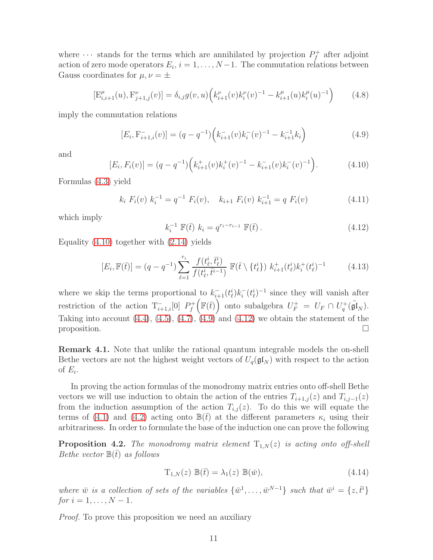where  $\cdots$  stands for the terms which are annihilated by projection  $P_f^+$  $f_f^+$  after adjoint action of zero mode operators  $E_i$ ,  $i = 1, \ldots, N-1$ . The commutation relations between Gauss coordinates for  $\mu, \nu = \pm$ 

$$
[E_{i,i+1}^{\mu}(u), F_{j+1,j}^{\nu}(v)] = \delta_{i,j} g(v, u) \left( k_{i+1}^{\nu}(v) k_i^{\nu}(v)^{-1} - k_{i+1}^{\mu}(u) k_i^{\mu}(u)^{-1} \right)
$$
(4.8)

imply the commutation relations

<span id="page-11-2"></span>
$$
[E_i, F_{i+1,i}^-(v)] = (q - q^{-1}) \left( k_{i+1}^-(v) k_i^-(v)^{-1} - k_{i+1}^{-1} k_i \right)
$$
\n(4.9)

and

<span id="page-11-1"></span>
$$
[E_i, F_i(v)] = (q - q^{-1}) \left( k_{i+1}^+(v) k_i^+(v)^{-1} - k_{i+1}^-(v) k_i^-(v)^{-1} \right). \tag{4.10}
$$

Formulas [\(4.3\)](#page-10-3) yield

$$
k_i F_i(v) k_i^{-1} = q^{-1} F_i(v), \quad k_{i+1} F_i(v) k_{i+1}^{-1} = q F_i(v)
$$
 (4.11)

which imply

<span id="page-11-3"></span>
$$
k_i^{-1} \mathbb{F}(\bar{t}) \ k_i = q^{r_i - r_{i-1}} \mathbb{F}(\bar{t}) \,. \tag{4.12}
$$

Equality [\(4.10\)](#page-11-1) together with [\(2.14\)](#page-4-1) yields

$$
[E_i, \mathbb{F}(\bar{t})] = (q - q^{-1}) \sum_{\ell=1}^{r_i} \frac{f(t_\ell^i, \bar{t}_\ell^i)}{f(t_\ell^i, \bar{t}^{i-1})} \mathbb{F}(\bar{t} \setminus \{t_\ell^i\}) k_{i+1}^+(t_\ell^i) k_i^+(t_\ell^i)^{-1}
$$
(4.13)

where we skip the terms proportional to  $k_{i+1}^-(t_\ell^i)k_i^-(t_\ell^i)^{-1}$  since they will vanish after restriction of the action  $T_{i+1,i}^{-}[0]$   $P_f^+$ f  $\left(\mathbb{F}(\bar{t})\right)$  onto subalgebra  $U_F^+ = U_F \cap U_q^+(\tilde{\mathfrak{gl}}_N)$ . Taking into account  $(4.4)$ ,  $(4.5)$ ,  $(4.7)$ ,  $(4.9)$  and  $(4.12)$  we obtain the statement of the proposition.  $\Box$ 

Remark 4.1. Note that unlike the rational quantum integrable models the on-shell Bethe vectors are not the highest weight vectors of  $U_q(\mathfrak{gl}_N)$  with respect to the action of  $E_i$ .

In proving the action formulas of the monodromy matrix entries onto off-shell Bethe vectors we will use induction to obtain the action of the entries  $T_{i+1,j}(z)$  and  $T_{i,j-1}(z)$ from the induction assumption of the action  $T_{i,j}(z)$ . To do this we will equate the terms of [\(4.1\)](#page-10-0) and [\(4.2\)](#page-10-1) acting onto  $\mathbb{B}(t)$  at the different parameters  $\kappa_i$  using their arbitrariness. In order to formulate the base of the induction one can prove the following

<span id="page-11-0"></span>**Proposition 4.2.** The monodromy matrix element  $T_{1,N}(z)$  is acting onto off-shell Bethe vector  $\mathbb{B}(\bar{t})$  as follows

<span id="page-11-4"></span>
$$
T_{1,N}(z) \mathbb{B}(\bar{t}) = \lambda_1(z) \mathbb{B}(\bar{w}), \qquad (4.14)
$$

where  $\bar{w}$  is a collection of sets of the variables  $\{\bar{w}^1, \ldots, \bar{w}^{N-1}\}\$  such that  $\bar{w}^i = \{z, \bar{t}^i\}\$ *for*  $i = 1, ..., N - 1$ .

Proof. To prove this proposition we need an auxiliary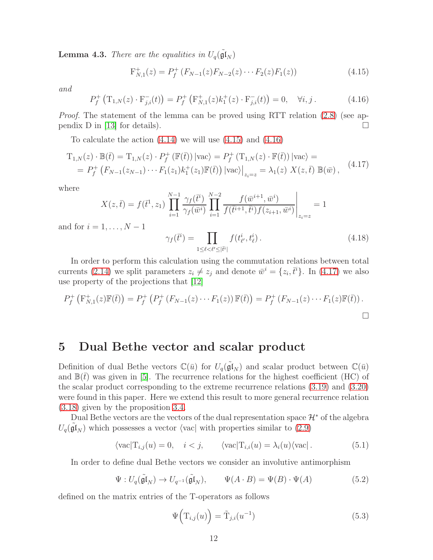**Lemma 4.3.** There are the equalities in  $U_q(\tilde{\mathfrak{gl}}_N)$ 

<span id="page-12-1"></span>
$$
F_{N,1}^{+}(z) = P_f^{+}(F_{N-1}(z)F_{N-2}(z)\cdots F_2(z)F_1(z))
$$
\n(4.15)

and

<span id="page-12-2"></span>
$$
P_f^+\left(\mathcal{T}_{1,N}(z)\cdot\mathcal{F}_{j,i}^-(t)\right) = P_f^+\left(\mathcal{F}_{N,1}^+(z)k_1^+(z)\cdot\mathcal{F}_{j,i}^-(t)\right) = 0, \quad \forall i, j.
$$
 (4.16)

Proof. The statement of the lemma can be proved using RTT relation [\(2.8\)](#page-3-0) (see ap-pendix D in [\[13\]](#page-20-5) for details).

To calculate the action [\(4.14\)](#page-11-4) we will use [\(4.15\)](#page-12-1) and [\(4.16\)](#page-12-2)

<span id="page-12-3"></span>
$$
T_{1,N}(z) \cdot \mathbb{B}(\bar{t}) = T_{1,N}(z) \cdot P_f^+ (\mathbb{F}(\bar{t})) |\text{vac}\rangle = P_f^+ (T_{1,N}(z) \cdot \mathbb{F}(\bar{t})) |\text{vac}\rangle =
$$
  
= 
$$
P_f^+ (F_{N-1}(z_{N-1}) \cdots F_1(z_1) k_1^+(z_1) \mathbb{F}(\bar{t})) |\text{vac}\rangle \Big|_{z_i=z} = \lambda_1(z) X(z, \bar{t}) \mathbb{B}(\bar{w}), \quad (4.17)
$$

where

$$
X(z,\bar{t}) = f(\bar{t}^1, z_1) \prod_{i=1}^{N-1} \frac{\gamma_f(\bar{t}^i)}{\gamma_f(\bar{w}^i)} \prod_{i=1}^{N-2} \frac{f(\bar{w}^{i+1}, \bar{w}^i)}{f(\bar{t}^{i+1}, \bar{t}^i)f(z_{i+1}, \bar{w}^i)} \Big|_{z_i=z} = 1
$$

and for  $i = 1, \ldots, N - 1$ 

$$
\gamma_f(\bar{t}^i) = \prod_{1 \le \ell < \ell' \le |\bar{t}^i|} f(t^i_{\ell'}, t^i_{\ell}).\tag{4.18}
$$

In order to perform this calculation using the commutation relations between total currents [\(2.14\)](#page-4-1) we split parameters  $z_i \neq z_j$  and denote  $\bar{w}^i = \{z_i, \bar{t}^i\}$ . In [\(4.17\)](#page-12-3) we also use property of the projections that [\[12\]](#page-20-4)

$$
P_f^+\left(\mathcal{F}_{N,1}^+(z)\mathbb{F}(t)\right) = P_f^+\left(P_f^+\left(F_{N-1}(z)\cdots F_1(z)\right)\mathbb{F}(t)\right) = P_f^+\left(F_{N-1}(z)\cdots F_1(z)\mathbb{F}(t)\right).
$$

### <span id="page-12-0"></span>5 Dual Bethe vector and scalar product

Definition of dual Bethe vectors  $\mathbb{C}(\bar{u})$  for  $U_q(\tilde{\mathfrak{gl}}_N)$  and scalar product between  $\mathbb{C}(\bar{u})$ and  $\mathbb{B}(\bar{t})$  was given in [\[5\]](#page-19-4). The recurrence relations for the highest coefficient (HC) of the scalar product corresponding to the extreme recurrence relations [\(3.19\)](#page-9-1) and [\(3.20\)](#page-9-2) were found in this paper. Here we extend this result to more general recurrence relation [\(3.18\)](#page-8-3) given by the proposition [3.4.](#page-8-2)

Dual Bethe vectors are the vectors of the dual representation space  $\mathcal{H}^*$  of the algebra  $U_q(\tilde{\mathfrak{gl}}_N)$  which possesses a vector  $\langle \text{vac} |$  with properties similar to  $(2.9)$ 

<span id="page-12-5"></span>
$$
\langle \text{vac} | T_{i,j}(u) = 0, \quad i < j, \qquad \langle \text{vac} | T_{i,i}(u) = \lambda_i(u) \langle \text{vac} | \, . \tag{5.1}
$$

In order to define dual Bethe vectors we consider an involutive antimorphism

<span id="page-12-4"></span>
$$
\Psi: U_q(\tilde{\mathfrak{gl}}_N) \to U_{q^{-1}}(\tilde{\mathfrak{gl}}_N), \qquad \Psi(A \cdot B) = \Psi(B) \cdot \Psi(A) \tag{5.2}
$$

defined on the matrix entries of the T-operators as follows

$$
\Psi\left(\mathbf{T}_{i,j}(u)\right) = \tilde{\mathbf{T}}_{j,i}(u^{-1})\tag{5.3}
$$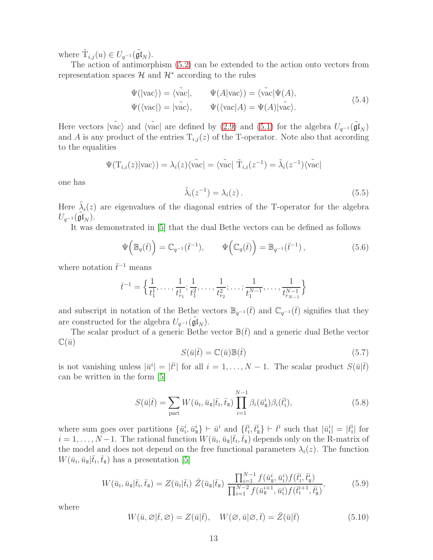where  $\tilde{T}_{i,j}(u) \in U_{q^{-1}}(\tilde{\mathfrak{gl}}_N)$ .

The action of antimorphism [\(5.2\)](#page-12-4) can be extended to the action onto vectors from representation spaces  $\mathcal{H}$  and  $\mathcal{H}^*$  according to the rules

$$
\Psi(|\text{vac}\rangle) = \langle \tilde{\text{vac}}|, \qquad \Psi(A|\text{vac}\rangle) = \langle \tilde{\text{vac}}|\Psi(A),
$$
  

$$
\Psi(\langle \text{vac}|) = |\tilde{\text{vac}}\rangle, \qquad \Psi(\langle \text{vac}|A) = \Psi(A)|\tilde{\text{vac}}\rangle.
$$
 (5.4)

Here vectors  $|\tilde{\text{vac}}\rangle$  and  $\langle \tilde{\text{vac}}|$  are defined by [\(2.9\)](#page-3-1) and [\(5.1\)](#page-12-5) for the algebra  $U_{q^{-1}}(\tilde{\text{gl}}_N)$ and A is any product of the entries  $T_{i,j}(z)$  of the T-operator. Note also that according to the equalities

$$
\Psi(\mathrm{T}_{i,i}(z)|\mathrm{vac}\rangle) = \lambda_i(z)\langle \mathrm{vac} | = \langle \mathrm{vac} | \tilde{\mathrm{T}}_{i,i}(z^{-1}) = \tilde{\lambda}_i(z^{-1})\langle \mathrm{vac} |
$$

one has

<span id="page-13-0"></span>
$$
\tilde{\lambda}_i(z^{-1}) = \lambda_i(z). \tag{5.5}
$$

Here  $\tilde{\lambda}_i(z)$  are eigenvalues of the diagonal entries of the T-operator for the algebra  $U_{q^{-1}}(\widetilde{\mathfrak{gl}}_N)$  .

It was demonstrated in [\[5\]](#page-19-4) that the dual Bethe vectors can be defined as follows

$$
\Psi\left(\mathbb{B}_{q}(\bar{t})\right) = \mathbb{C}_{q^{-1}}(\bar{t}^{-1}), \qquad \Psi\left(\mathbb{C}_{q}(\bar{t})\right) = \mathbb{B}_{q^{-1}}(\bar{t}^{-1}), \qquad (5.6)
$$

where notation  $\bar{t}^{-1}$  means

$$
\bar{t}^{-1} = \left\{ \frac{1}{t_1^1}, \dots, \frac{1}{t_{r_1}^1}; \frac{1}{t_1^2}, \dots, \frac{1}{t_{r_2}^2}; \dots; \frac{1}{t_1^{N-1}}, \dots, \frac{1}{t_{r_{N-1}}^{N-1}} \right\}
$$

and subscript in notation of the Bethe vectors  $\mathbb{B}_{q^{-1}}(\bar{t})$  and  $\mathbb{C}_{q^{-1}}(\bar{t})$  signifies that they are constructed for the algebra  $U_{q^{-1}}(\tilde{\mathfrak{gl}}_N)$ .

The scalar product of a generic Bethe vector  $\mathbb{B}(\bar{t})$  and a generic dual Bethe vector  $\mathbb{C}(\bar{u})$ 

<span id="page-13-1"></span>
$$
S(\bar{u}|\bar{t}) = \mathbb{C}(\bar{u})\mathbb{B}(\bar{t})\tag{5.7}
$$

is not vanishing unless  $|\bar{u}^i| = |\bar{t}^i|$  for all  $i = 1, \ldots, N-1$ . The scalar product  $S(\bar{u}|\bar{t})$ can be written in the form [\[5\]](#page-19-4)

<span id="page-13-2"></span>
$$
S(\bar{u}|\bar{t}) = \sum_{\text{part}} W(\bar{u}_{\text{I}}, \bar{u}_{\text{I}}|\bar{t}_{\text{I}}, \bar{t}_{\text{I}}) \prod_{i=1}^{N-1} \beta_i(\bar{u}_{\text{I}}^i) \beta_i(\bar{t}_{\text{I}}^i), \tag{5.8}
$$

where sum goes over partitions  $\{\bar{u}_i^i, \bar{u}_i^i\} \vdash \bar{u}^i$  and  $\{\bar{t}_i^i, \bar{t}_i^i\} \vdash \bar{t}^i$  such that  $|\bar{u}_1^i| = |\bar{t}_1^i|$  for  $i = 1, \ldots, N-1$ . The rational function  $W(\bar{u}_{\scriptscriptstyle \rm I},\bar{u}_{\scriptscriptstyle \rm I\hspace{-1pt}I}|\bar{t}_{\scriptscriptstyle \rm I},\bar{t}_{\scriptscriptstyle \rm I\hspace{-1pt}I})$  depends only on the R-matrix of the model and does not depend on the free functional parameters  $\lambda_i(z)$ . The function  $W(\bar{u}_{\rm I}, \bar{u}_{\rm I\!I}|\bar{t}_{\rm I}, \bar{t}_{\rm I\!I})$  has a presentation [\[5\]](#page-19-4)

$$
W(\bar{u}_{\rm I},\bar{u}_{\rm I\!I}|\bar{t}_{\rm I},\bar{t}_{\rm I\!I}) = Z(\bar{u}_{\rm I}|\bar{t}_{\rm I}) \ \bar{Z}(\bar{u}_{\rm I\!I}|\bar{t}_{\rm I\!I}) \ \frac{\prod_{i=1}^{N-1} f(\bar{u}_{\rm I\!I}^i, \bar{u}_{\rm I}^i) f(\bar{t}_{\rm I}^i, \bar{t}_{\rm I\!I}^i)}{\prod_{i=1}^{N-2} f(\bar{u}_{\rm I\!I}^{i+1}, \bar{u}_{\rm I}^i) f(\bar{t}_{\rm I}^{i+1}, \bar{t}_{\rm I\!I}^i)},\tag{5.9}
$$

where

$$
W(\bar{u}, \varnothing | \bar{t}, \varnothing) = Z(\bar{u} | \bar{t}), \quad W(\varnothing, \bar{u} | \varnothing, \bar{t}) = \bar{Z}(\bar{u} | \bar{t}) \tag{5.10}
$$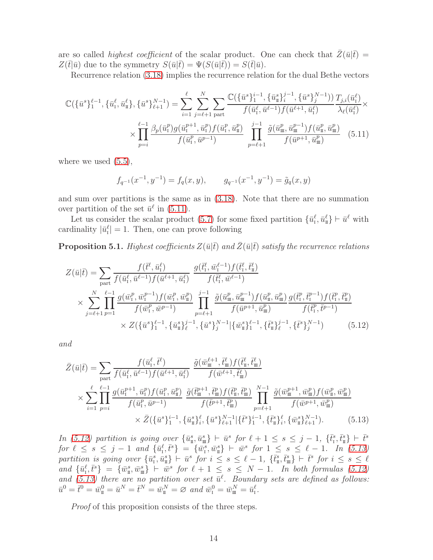are so called *highest coefficient* of the scalar product. One can check that  $\bar{Z}(\bar{u}|\bar{t}) =$  $Z(\bar{t}|\bar{u})$  due to the symmetry  $S(\bar{u}|\bar{t}) = \Psi(S(\bar{u}|\bar{t})) = S(\bar{t}|\bar{u}).$ 

Recurrence relation [\(3.18\)](#page-8-3) implies the recurrence relation for the dual Bethe vectors

$$
\mathbb{C}(\{\bar{u}^{s}\}_{1}^{\ell-1}, \{\bar{u}^{\ell}_{I}, \bar{u}^{\ell}_{I}\}, \{\bar{u}^{s}\}_{\ell+1}^{N-1}) = \sum_{i=1}^{\ell} \sum_{j=\ell+1}^{N} \sum_{\text{part}} \frac{\mathbb{C}(\{\bar{u}^{s}\}_{1}^{i-1}, \{\bar{u}^{s}\}_{i}^{j-1}, \{\bar{u}^{s}\}_{j}^{N-1}))}{f(\bar{u}^{\ell}_{I}, \bar{u}^{\ell-1})f(\bar{u}^{\ell+1}, \bar{u}^{\ell}_{I})} \frac{T_{j,i}(\bar{u}^{\ell}_{I})}{\lambda_{\ell}(\bar{u}^{\ell}_{I})} \times \prod_{p=i}^{\ell-1} \frac{\beta_{p}(\bar{u}^{p}_{I})g(\bar{u}^{p+1}_{I}, \bar{u}^{p}_{I})f(\bar{u}^{p}_{I}, \bar{u}^{p}_{I})}{f(\bar{u}^{p}_{I}, \bar{u}^{p-1})} \prod_{p=\ell+1}^{j-1} \frac{\tilde{g}(\bar{u}^{p}_{I\!I\!I}, \bar{u}^{p-1}_{I\!I\!I})f(\bar{u}^{p}_{I}, \bar{u}^{p}_{I\!I\!I})}{f(\bar{u}^{p+1}, \bar{u}^{p}_{I\!I\!I})} \quad (5.11)
$$

where we used  $(5.5)$ ,

<span id="page-14-1"></span><span id="page-14-0"></span>
$$
f_{q^{-1}}(x^{-1}, y^{-1}) = f_q(x, y), \qquad g_{q^{-1}}(x^{-1}, y^{-1}) = \tilde{g}_q(x, y)
$$

and sum over partitions is the same as in [\(3.18\)](#page-8-3). Note that there are no summation over partition of the set  $\bar{u}^{\ell}$  in [\(5.11\)](#page-14-0).

Let us consider the scalar product [\(5.7\)](#page-13-1) for some fixed partition  $\{\bar{u}_i^{\ell}, \bar{u}_i^{\ell}\} \vdash \bar{u}^{\ell}$  with cardinality  $|\bar{u}_i^{\ell}| = 1$ . Then, one can prove following

**Proposition 5.1.** Highest coefficients  $Z(\bar{u}|\bar{t})$  and  $\bar{Z}(\bar{u}|\bar{t})$  satisfy the recurrence relations

$$
Z(\bar{u}|\bar{t}) = \sum_{\text{part}} \frac{f(\bar{t}^{\ell}, \bar{u}^{\ell}_{1})}{f(\bar{u}^{\ell}_{1}, \bar{u}^{\ell-1}) f(\bar{u}^{\ell+1}, \bar{u}^{\ell}_{1})} \frac{g(\bar{t}^{\ell}_{1}, \bar{w}^{\ell-1}_{1}) f(\bar{t}^{\ell}_{1}, \bar{t}^{\ell}_{1})}{f(\bar{t}^{\ell}_{1}, \bar{w}^{\ell-1})} \times \sum_{j=\ell+1}^{N} \prod_{p=1}^{\ell-1} \frac{g(\bar{w}^p_{1}, \bar{w}^{p-1}_{1}) f(\bar{w}^p_{1}, \bar{w}^p_{1})}{f(\bar{w}^p_{1}, \bar{w}^{p-1}_{1})} \prod_{p=\ell+1}^{j-1} \frac{\tilde{g}(\bar{u}^p_{\mathfrak{m}}, \bar{u}^{p-1}_{\mathfrak{m}}) f(\bar{u}^p_{\mathfrak{m}}, \bar{u}^p_{\mathfrak{m}})}{f(\bar{w}^{p+1}, \bar{u}^p_{\mathfrak{m}})} \frac{g(\bar{t}^p_{1}, \bar{t}^{p-1}_{1}) f(\bar{t}^p_{1}, \bar{t}^p_{\mathfrak{m}})}{f(\bar{t}^p_{1}, \bar{t}^{p-1}_{1})} \times Z(\{\bar{u}^s\}_{1}^{\ell-1}, {\{\bar{u}^s\}_{\ell}^{\ell-1}, {\{\bar{u}^s\}_{j}^{\ell-1}} | \{\bar{w}^s\}_{1}^{\ell-1}, {\{\bar{t}^s\}_{\ell}^{\ell-1}, {\{\bar{t}^s\}_{j}^{\ell-1}}})} \qquad (5.12)
$$

and

<span id="page-14-2"></span>
$$
\bar{Z}(\bar{u}|\bar{t}) = \sum_{\text{part}} \frac{f(\bar{u}_{1}^{\ell}, \bar{t}^{\ell})}{f(\bar{u}_{1}^{\ell}, \bar{u}^{\ell-1}) f(\bar{u}^{\ell+1}, \bar{u}_{1}^{\ell})} \frac{\tilde{g}(\bar{w}_{m}^{\ell+1}, \bar{t}_{m}^{\ell}) f(\bar{t}_{m}^{\ell}, \bar{t}_{m}^{\ell})}{f(\bar{w}^{\ell+1}, \bar{t}_{m}^{\ell})} \times \sum_{i=1}^{\ell} \prod_{p=i}^{\ell-1} \frac{g(\bar{u}_{1}^{p+1}, \bar{u}_{1}^{p}) f(\bar{u}_{1}^{p}, \bar{u}_{1}^{p})}{f(\bar{u}_{1}^{p}, \bar{u}^{p-1})} \frac{\tilde{g}(\bar{t}_{m}^{p+1}, \bar{t}_{m}^{p}) f(\bar{t}_{m}^{p}, \bar{t}_{m}^{p})}{f(\bar{t}_{m}^{p+1}, \bar{t}_{m}^{p})} \prod_{p=\ell+1}^{N-1} \frac{\tilde{g}(\bar{w}_{m}^{p+1}, \bar{w}_{m}^{p}) f(\bar{w}_{1}^{p}, \bar{w}_{m}^{p})}{f(\bar{w}^{p+1}, \bar{w}_{m}^{p})} \times \bar{Z}(\{\bar{u}^{s}\}_{1}^{i-1}, \{\bar{u}_{1}^{s}\}_{i}^{i}, \{\bar{u}^{s}\}_{\ell+1}^{N-1}|\{\bar{t}^{s}\}_{1}^{i-1}, \{\bar{t}_{1}^{s}\}_{i}^{i}, \{\bar{w}_{1}^{s}\}_{\ell+1}^{N-1}). \tag{5.13}
$$

In [\(5.12\)](#page-14-1) partition is going over  $\{\bar{u}_\pi^s, \bar{u}_\pi^s\} \vdash \bar{u}^s$  for  $\ell + 1 \leq s \leq j - 1$ ,  $\{\bar{t}_1^s, \bar{t}_\pi^s\} \vdash \bar{t}^s$ for  $\ell \leq s \leq j-1$  and  $\{\bar{u}_i^{\ell}, \bar{t}^s\} = \{\bar{w}_i^s, \bar{w}_i^s\} \vdash \bar{w}^s$  for  $1 \leq s \leq \ell - 1$ . In [\(5.13\)](#page-14-2) partition is going over  $\{\bar{u}_i^s, \bar{u}_i^s\}$   $\vdash \bar{u}^s$  for  $i \leq s \leq \ell-1$ ,  $\{\bar{t}_i^s, \bar{t}_i^s\}$   $\vdash \bar{t}^s$  for  $i \leq s \leq \ell$ and  $\{\bar{u}_1^{\ell}, \bar{t}^s\} = \{\bar{w}_1^s, \bar{w}_1^s\} \vdash \bar{w}^s$  for  $\ell + 1 \leq s \leq N - 1$ . In both formulas [\(5.12\)](#page-14-1) and [\(5.13\)](#page-14-2) there are no partition over set  $\bar{u}^{\ell}$ . Boundary sets are defined as follows:  $\bar{u}^0 = \bar{t}^0 = \bar{w}^0_{\scriptscriptstyle \rm I\hspace{-1pt}I} = \bar{u}^N = \bar{t}^N = \bar{w}^N_{\scriptscriptstyle \rm I\hspace{-1pt}I} = \varnothing \ \textit{and} \ \bar{w}^0_{\scriptscriptstyle \rm I\hspace{-1pt}I} = \bar{w}^N_{\scriptscriptstyle \rm I\hspace{-1pt}I\hspace{-1pt}I} = \bar{u}^{\ell}_{\scriptscriptstyle \rm I\hspace{-1pt}I}.$ 

Proof of this proposition consists of the three steps.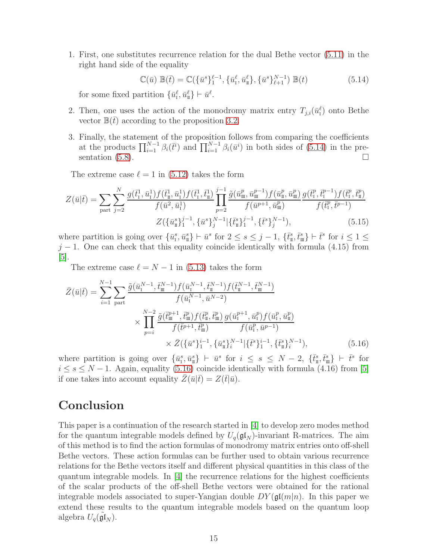1. First, one substitutes recurrence relation for the dual Bethe vector [\(5.11\)](#page-14-0) in the right hand side of the equality

<span id="page-15-0"></span>
$$
\mathbb{C}(\bar{u}) \mathbb{B}(\bar{t}) = \mathbb{C}(\{\bar{u}^s\}_{1}^{\ell-1}, \{\bar{u}^{\ell}_t, \bar{u}^{\ell}_\pi\}, \{\bar{u}^s\}_{\ell+1}^{N-1}) \mathbb{B}(t) \tag{5.14}
$$

for some fixed partition  $\{\bar{u}_i^{\ell}, \bar{u}_n^{\ell}\} \vdash \bar{u}^{\ell}$ .

- 2. Then, one uses the action of the monodromy matrix entry  $T_{j,i}(\bar{u}_I^{\ell})$  onto Bethe vector  $\mathbb{B}(\bar{t})$  according to the proposition [3.2.](#page-8-1)
- 3. Finally, the statement of the proposition follows from comparing the coefficients at the products  $\prod_{i=1}^{N-1} \beta_i(\bar{t}^i)$  and  $\prod_{i=1}^{N-1} \beta_i(\bar{u}^i)$  in both sides of [\(5.14\)](#page-15-0) in the presentation  $(5.8)$ .

The extreme case  $\ell = 1$  in [\(5.12\)](#page-14-1) takes the form

$$
Z(\bar{u}|\bar{t}) = \sum_{\text{part}} \sum_{j=2}^{N} \frac{g(\bar{t}_{1}^{1}, \bar{u}_{1}^{1}) f(\bar{t}_{1}^{1}, \bar{u}_{1}^{1}) f(\bar{t}_{1}^{1}, \bar{t}_{1}^{1})}{f(\bar{u}^{2}, \bar{u}_{1}^{1})} \prod_{p=2}^{j-1} \frac{\tilde{g}(\bar{u}_{m}^{p}, \bar{u}_{m}^{p-1}) f(\bar{u}_{m}^{p}, \bar{u}_{m}^{p}) g(\bar{t}_{1}^{p}, \bar{t}_{1}^{p-1}) f(\bar{t}_{1}^{p}, \bar{t}_{1}^{p})}{f(\bar{t}_{1}^{p}, \bar{t}_{1}^{p-1})}
$$

$$
Z(\{\bar{u}_{n}^{s}\}_{1}^{j-1}, \{\bar{u}^{s}\}_{j}^{N-1} | \{\bar{t}_{n}^{s}\}_{1}^{j-1}, \{\bar{t}^{s}\}_{j}^{N-1}), \qquad (5.15)
$$

where partition is going over  $\{\bar{u}_i^s, \bar{u}_\pi^s\} \vdash \bar{u}^s$  for  $2 \leq s \leq j-1$ ,  $\{\bar{t}_\pi^s, \bar{t}_\pi^s\} \vdash \bar{t}^s$  for  $i \leq 1 \leq$  $j-1$ . One can check that this equality coincide identically with formula (4.15) from [\[5\]](#page-19-4).

<span id="page-15-1"></span>The extreme case  $\ell = N - 1$  in [\(5.13\)](#page-14-2) takes the form

$$
\bar{Z}(\bar{u}|\bar{t}) = \sum_{i=1}^{N-1} \sum_{\text{part}} \frac{\tilde{g}(\bar{u}_{i}^{N-1}, \bar{t}_{\text{m}}^{N-1}) f(\bar{u}_{i}^{N-1}, \bar{t}_{\text{m}}^{N-1}) f(\bar{t}_{\text{m}}^{N-1}, \bar{t}_{\text{m}}^{N-1})}{f(\bar{u}_{i}^{N-1}, \bar{u}^{N-2})} \times \prod_{p=i}^{N-2} \frac{\tilde{g}(\bar{t}_{\text{m}}^{p+1}, \bar{t}_{\text{m}}^{p}) f(\bar{t}_{\text{m}}^{p}, \bar{t}_{\text{m}}^{p}) g(\bar{u}_{i}^{p+1}, \bar{u}_{i}^{p}) f(\bar{u}_{i}^{p}, \bar{u}_{\text{m}}^{p})}{f(\bar{t}_{i}^{p+1}, \bar{t}_{\text{m}}^{p})} \times \bar{Z}(\{\bar{u}^{s}\}_{1}^{i-1}, \{\bar{u}_{i}^{s}\}_{i}^{N-1} | \{\bar{t}^{s}\}_{1}^{i-1}, \{\bar{t}_{\text{m}}^{s}\}_{i}^{N-1}), \tag{5.16}
$$

where partition is going over  $\{\bar{u}_i^s, \bar{u}_i^s\}$   $\vdash \bar{u}^s$  for  $i \leq s \leq N-2$ ,  $\{\bar{t}_i^s, \bar{t}_i^s\}$   $\vdash \bar{t}^s$  for  $i \leq s \leq N-1$ . Again, equality [\(5.16\)](#page-15-1) coincide identically with formula (4.16) from [\[5\]](#page-19-4) if one takes into account equality  $\bar{Z}(\bar{u}|\bar{t}) = Z(\bar{t}|\bar{u})$ .

# Conclusion

This paper is a continuation of the research started in [\[4\]](#page-19-3) to develop zero modes method for the quantum integrable models defined by  $U_q(\mathfrak{gl}_N)$ -invariant R-matrices. The aim of this method is to find the action formulas of monodromy matrix entries onto off-shell Bethe vectors. These action formulas can be further used to obtain various recurrence relations for the Bethe vectors itself and different physical quantities in this class of the quantum integrable models. In  $[4]$  the recurrence relations for the highest coefficients of the scalar products of the off-shell Bethe vectors were obtained for the rational integrable models associated to super-Yangian double  $DY(\mathfrak{gl}(m|n)$ . In this paper we extend these results to the quantum integrable models based on the quantum loop algebra  $U_q(\tilde{\mathfrak{gl}}_N)$ .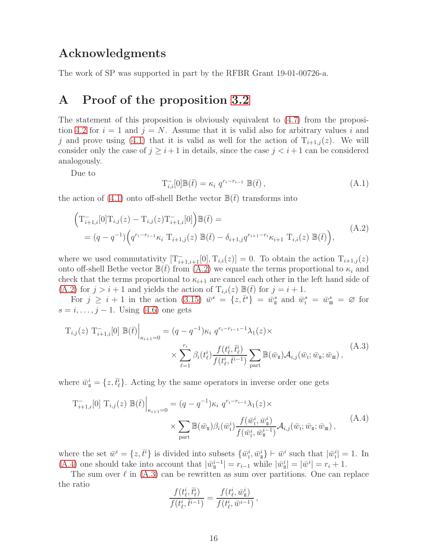### Acknowledgments

<span id="page-16-0"></span>The work of SP was supported in part by the RFBR Grant 19-01-00726-a.

# A Proof of the proposition [3.2](#page-8-1)

The statement of this proposition is obviously equivalent to [\(4.7\)](#page-10-6) from the proposi-tion [4.2](#page-11-0) for  $i = 1$  and  $j = N$ . Assume that it is valid also for arbitrary values i and j and prove using [\(4.1\)](#page-10-0) that it is valid as well for the action of  $T_{i+1,j}(z)$ . We will consider only the case of  $j \geq i+1$  in details, since the case  $j < i+1$  can be considered analogously.

Due to

$$
T_{i,i}^{-}[0]\mathbb{B}(\bar{t}) = \kappa_i q^{r_i - r_{i-1}} \mathbb{B}(\bar{t}), \qquad (A.1)
$$

the action of [\(4.1\)](#page-10-0) onto off-shell Bethe vector  $\mathbb{B}(\bar{t})$  transforms into

<span id="page-16-1"></span>
$$
\left(\mathbf{T}_{i+1,i}^{-}[0]\mathbf{T}_{i,j}(z) - \mathbf{T}_{i,j}(z)\mathbf{T}_{i+1,i}^{-}[0]\right) \mathbb{B}(\bar{t}) =
$$
\n
$$
= (q - q^{-1}) \left(q^{r_i - r_{i-1}} \kappa_i \ \mathbf{T}_{i+1,j}(z) \ \mathbb{B}(\bar{t}) - \delta_{i+1,j} q^{r_{i+1} - r_i} \kappa_{i+1} \ \mathbf{T}_{i,i}(z) \ \mathbb{B}(\bar{t})\right),
$$
\n(A.2)

where we used commutativity  $[T_{i+1,i+1}^{-}[0], T_{i,i}(z)] = 0$ . To obtain the action  $T_{i+1,j}(z)$ onto off-shell Bethe vector  $\mathbb{B}(\bar{t})$  from  $(A.2)$  we equate the terms proportional to  $\kappa_i$  and check that the terms proportional to  $\kappa_{i+1}$  are cancel each other in the left hand side of  $(A.2)$  for  $j > i + 1$  and yields the action of  $T_{i,i}(z) \mathbb{B}(t)$  for  $j = i + 1$ .

For  $j \geq i+1$  in the action [\(3.15\)](#page-8-0)  $\bar{w}^s = \{z, \bar{t}^s\} = \bar{w}^s_{\scriptscriptstyle \rm I\hspace{-1pt}I}$  and  $\bar{w}^s_{\scriptscriptstyle \rm I\hspace{-1pt}I} = \bar{w}^s_{\scriptscriptstyle \rm I\hspace{-1pt}I} = \bar{w}^s_{\scriptscriptstyle \rm I\hspace{-1pt}I} = \emptyset$  for  $s = i, \ldots, j - 1$ . Using [\(4.6\)](#page-10-7) one gets

<span id="page-16-3"></span>
$$
T_{i,j}(z) T_{i+1,i}^{-}[0] \mathbb{B}(\bar{t})\Big|_{\kappa_{i+1}=0} = (q - q^{-1})\kappa_i q^{r_i - r_{i-1}-1} \lambda_1(z) \times \sum_{\ell=1}^{r_i} \beta_i(t_\ell^i) \frac{f(t_\ell^i, \bar{t}_\ell^i)}{f(t_\ell^i, \bar{t}_\ell^{i-1})} \sum_{\text{part}} \mathbb{B}(\bar{w}_{\mathbb{I}}) \mathcal{A}_{i,j}(\bar{w}_{\mathbb{I}}; \bar{w}_{\mathbb{I}}; \bar{w}_{\mathbb{I}}),
$$
\n(A.3)

where  $\bar{w}_{\scriptscriptstyle \rm I\hspace{-1pt}I}^i = \{z,\bar{t}_\ell^i\}$ . Acting by the same operators in inverse order one gets

<span id="page-16-2"></span>
$$
T_{i+1,i}^{-}[0] T_{i,j}(z) \mathbb{B}(\bar{t})\Big|_{\kappa_{i+1}=0} = (q - q^{-1})\kappa_i q^{r_i - r_{i-1}}\lambda_1(z) \times \times \sum_{\text{part}} \mathbb{B}(\bar{w}_{\mathbf{I}}) \beta_i(\bar{w}_{\mathbf{I}}^i) \frac{f(\bar{w}_{\mathbf{I}}^i, \bar{w}_{\mathbf{I}}^i)}{f(\bar{w}_{\mathbf{I}}^i, \bar{w}_{\mathbf{I}}^{i-1})} \mathcal{A}_{i,j}(\bar{w}_{\mathbf{I}}; \bar{w}_{\mathbf{I}}; \bar{w}_{\mathbf{I}}),
$$
\n(A.4)

where the set  $\bar{w}^i = \{z, \bar{t}^i\}$  is divided into subsets  $\{\bar{w}^i_1, \bar{w}^i_1\} \vdash \bar{w}^i$  such that  $|\bar{w}^i_1| = 1$ . In [\(A.4\)](#page-16-2) one should take into account that  $|\bar{w}_{\pi}^{i-1}| = r_{i-1}$  while  $|\bar{w}_{\pi}^{i}| = |\bar{w}^{i}| = r_{i} + 1$ .

The sum over  $\ell$  in  $(A.3)$  can be rewritten as sum over partitions. One can replace the ratio

$$
\frac{f(t^i_{\ell}, \bar{t}^i_{\ell})}{f(t^i_{\ell}, \bar{t}^{i-1})} = \frac{f(t^i_{\ell}, \bar{w}^i_{\scriptscriptstyle \rm I\hspace{-1pt}I})}{f(t^i_{\ell}, \bar{w}^{i-1})}\,,
$$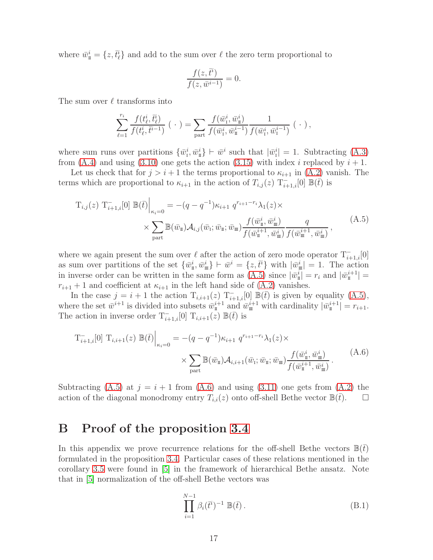where  $\bar{w}_{\scriptscriptstyle \rm I\hspace{-1pt}I}^i = \{z,\bar{t}_\ell^i\}$  and add to the sum over  $\ell$  the zero term proportional to

$$
\frac{f(z,\bar{t}^i)}{f(z,\bar{w}^{i-1})} = 0.
$$

The sum over  $\ell$  transforms into

$$
\sum_{\ell=1}^{r_i} \frac{f(t_\ell^i, \bar{t}_\ell^i)}{f(t_\ell^i, \bar{t}^{i-1})} (\cdot) = \sum_{\text{part}} \frac{f(\bar{w}_1^i, \bar{w}_1^i)}{f(\bar{w}_1^i, \bar{w}_1^{i-1})} \frac{1}{f(\bar{w}_1^i, \bar{w}_1^{i-1})} (\cdot),
$$

where sum runs over partitions  $\{\bar{w}_i^i, \bar{w}_i^i\} \vdash \bar{w}^i$  such that  $|\bar{w}_i^i| = 1$ . Subtracting [\(A.3\)](#page-16-3) from [\(A.4\)](#page-16-2) and using [\(3.10\)](#page-7-2) one gets the action [\(3.15\)](#page-8-0) with index i replaced by  $i + 1$ .

Let us check that for  $j > i + 1$  the terms proportional to  $\kappa_{i+1}$  in  $(A.2)$  vanish. The terms which are proportional to  $\kappa_{i+1}$  in the action of  $T_{i,j}(z)$   $T_{i+1,i}^{-}[0]$   $\mathbb{B}(\overline{t})$  is

<span id="page-17-1"></span>
$$
T_{i,j}(z) T_{i+1,i}^{-}[0] \mathbb{B}(\bar{t})\Big|_{\kappa_i=0} = -(q-q^{-1})\kappa_{i+1} q^{r_{i+1}-r_i} \lambda_1(z) \times \times \sum_{\text{part}} \mathbb{B}(\bar{w}_{\mathbb{I}}) \mathcal{A}_{i,j}(\bar{w}_{\mathbb{I}}; \bar{w}_{\mathbb{I}}; \bar{w}_{\mathbb{I}}) \frac{f(\bar{w}_{\mathbb{I}}^i, \bar{w}_{\mathbb{I}}^i)}{f(\bar{w}_{\mathbb{I}}^{i+1}, \bar{w}_{\mathbb{I}}^i)} \frac{q}{f(\bar{w}_{\mathbb{I}}^{i+1}, \bar{w}_{\mathbb{I}}^i)},
$$
\n(A.5)

where we again present the sum over  $\ell$  after the action of zero mode operator  $T_{i+1,i}^{-}[0]$ as sum over partitions of the set  $\{\bar{w}_{\scriptscriptstyle \rm I\hspace{-1pt}I}^i,\bar{w}_{\scriptscriptstyle \rm I\hspace{-1pt}I}^i\}$   $\vdash \bar{w}^i = \{z,\bar{t}^i\}$  with  $|\bar{w}_{\scriptscriptstyle \rm I\hspace{-1pt}I\hspace{-1pt}I}|^i = 1$ . The action in inverse order can be written in the same form as  $(A.5)$  since  $|\bar{w}_{\pi}^{i}| = r_{i}$  and  $|\bar{w}_{\pi}^{i+1}| =$  $r_{i+1}$  + 1 and coefficient at  $\kappa_{i+1}$  in the left hand side of [\(A.2\)](#page-16-1) vanishes.

In the case  $j = i + 1$  the action  $T_{i,i+1}(z)$   $T_{i+1,i}^{-}[0]$   $\mathbb{B}(\bar{t})$  is given by equality  $(A.5)$ , where the set  $\bar{w}^{i+1}$  is divided into subsets  $\bar{w}^{i+1}_{\text{II}}$  and  $\bar{w}^{i+1}_{\text{III}}$  with cardinality  $|\bar{w}^{i+1}_{\text{II}}| = r_{i+1}$ . The action in inverse order  $T_{i+1,i}^{-}[0]$   $T_{i,i+1}(z) \mathbb{B}(\bar{t})$  is

<span id="page-17-2"></span>
$$
T_{i+1,i}^{-}[0] T_{i,i+1}(z) \mathbb{B}(\bar{t})\Big|_{\kappa_i=0} = -(q-q^{-1})\kappa_{i+1} q^{r_{i+1}-r_i}\lambda_1(z) \times \times \sum_{\text{part}} \mathbb{B}(\bar{w}_{\mathbb{I}}) \mathcal{A}_{i,i+1}(\bar{w}_{\mathbb{I}}; \bar{w}_{\mathbb{I}}; \bar{w}_{\mathbb{I}}) \frac{f(\bar{w}_{\mathbb{I}}^i, \bar{w}_{\mathbb{I}}^i)}{f(\bar{w}_{\mathbb{I}}^{i+1}, \bar{w}_{\mathbb{I}}^i)}.
$$
(A.6)

Subtracting [\(A.5\)](#page-17-1) at  $j = i + 1$  from [\(A.6\)](#page-17-2) and using [\(3.11\)](#page-7-3) one gets from [\(A.2\)](#page-16-1) the action of the diagonal monodromy entry  $T_{i,i}(z)$  onto off-shell Bethe vector  $\mathbb{B}(t)$ .  $\Box$ 

# <span id="page-17-0"></span>B Proof of the proposition [3.4](#page-8-2)

In this appendix we prove recurrence relations for the off-shell Bethe vectors  $\mathbb{B}(t)$ formulated in the proposition [3.4.](#page-8-2) Particular cases of these relations mentioned in the corollary [3.5](#page-9-3) were found in [\[5\]](#page-19-4) in the framework of hierarchical Bethe ansatz. Note that in [\[5\]](#page-19-4) normalization of the off-shell Bethe vectors was

$$
\prod_{i=1}^{N-1} \beta_i(\bar{t}^i)^{-1} \mathbb{B}(\bar{t}).
$$
\n(B.1)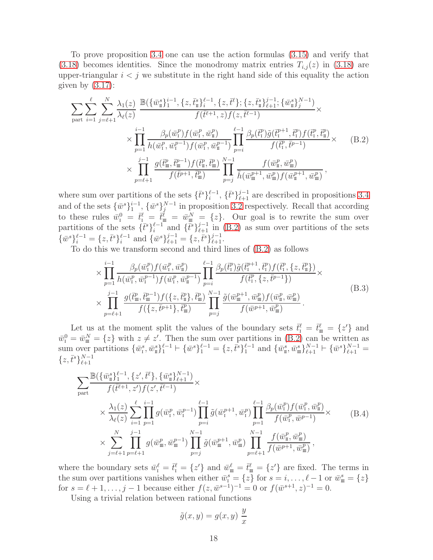To prove proposition [3.4](#page-8-2) one can use the action formulas [\(3.15\)](#page-8-0) and verify that  $(3.18)$  becomes identities. Since the monodromy matrix entries  $T_{i,j}(z)$  in  $(3.18)$  are upper-triangular  $i < j$  we substitute in the right hand side of this equality the action given by  $(3.17)$ :

<span id="page-18-0"></span>
$$
\sum_{\text{part}} \sum_{i=1}^{\ell} \sum_{j=\ell+1}^{N} \frac{\lambda_1(z)}{\lambda_{\ell}(z)} \frac{\mathbb{B}(\{\bar{w}_{\text{n}}^s\}_{1}^{i-1}, \{z,\bar{t}_{\text{n}}^s\}_{i}^{\ell-1}, \{z,\bar{t}_{\text{n}}^s\}_{\ell+1}^{j-1}; \{\bar{w}_{\text{n}}^s\}_{j}^{N-1})}{f(\bar{t}^{\ell+1},z)f(z,\bar{t}^{\ell-1})} \times \frac{\prod_{p=1}^{i-1} \frac{\beta_p(\bar{w}_{\text{n}}^p)f(\bar{w}_{\text{n}}^p, \bar{w}_{\text{n}}^p)}{h(\bar{w}_{\text{n}}^p, \bar{w}_{\text{n}}^p) f(\bar{w}_{\text{n}}^p, \bar{w}_{\text{n}}^p)} \prod_{p=i}^{\ell-1} \frac{\beta_p(\bar{t}_{\text{n}}^p)\tilde{g}(\bar{t}_{\text{n}}^{p+1}, \bar{t}_{\text{n}}^p)f(\bar{t}_{\text{n}}^p, \bar{t}_{\text{n}}^p)}{f(\bar{t}_{\text{n}}^p, \bar{t}_{\text{n}}^{p-1})} \times \frac{\prod_{p=\ell+1}^{j-1} \frac{g(\bar{t}_{\text{m}}^p, \bar{t}_{\text{m}}^{p-1})f(\bar{t}_{\text{n}}^p, \bar{t}_{\text{m}}^p)}{f(\bar{t}_{\text{n}}^p, \bar{t}_{\text{m}}^p)} \prod_{p=j}^{N-1} \frac{f(\bar{w}_{\text{n}}^p, \bar{w}_{\text{n}}^p)}{h(\bar{w}_{\text{n}}^{p+1}, \bar{w}_{\text{m}}^p)f(\bar{w}_{\text{n}}^{p+1}, \bar{w}_{\text{m}}^p)},
$$
\n(B.2)

where sum over partitions of the sets  $\{\bar{t}^s\}_{i=1}^{\ell-1}$ ,  $\{\bar{t}^s\}_{\ell+1}^{j-1}$  are described in propositions [3.4](#page-8-2) and of the sets  $\{\bar{w}^s\}_1^{i-1}$ ,  $\{\bar{w}^s\}_j^{N-1}$  in proposition [3.2](#page-8-1) respectively. Recall that according to these rules  $\bar{w}_I^0 = \bar{t}_I^{\ell} = \bar{t}_{\mathfrak{m}}^{\ell} = \bar{w}_{\mathfrak{m}}^N = \{z\}.$  Our goal is to rewrite the sum over partitions of the sets  $\{\bar{t}^s\}_{i=1}^{\ell-1}$  and  $\{\bar{t}^s\}_{\ell+1}^{j-1}$  in [\(B.2\)](#page-18-0) as sum over partitions of the sets  $\{\bar{w}^s\}_{i=1}^{\ell-1} = \{z,\bar{t}^s\}_{i=1}^{\ell-1} \text{ and } \{\bar{w}^s\}_{\ell+1}^{j-1} = \{z,\bar{t}^s\}_{\ell+1}^{j-1}.$ 

To do this we transform second and third lines of [\(B.2\)](#page-18-0) as follows

$$
\times \prod_{p=1}^{i-1} \frac{\beta_p(\bar{w}_1^p) f(\bar{w}_1^p, \bar{w}_1^p)}{h(\bar{w}_1^p, \bar{w}_1^{p-1}) f(\bar{w}_1^p, \bar{w}_1^{p-1})} \prod_{p=i}^{\ell-1} \frac{\beta_p(\bar{t}_1^p) \tilde{g}(\bar{t}_1^{p+1}, \bar{t}_1^p) f(\bar{t}_1^p, \{z, \bar{t}_1^p\})}{f(\bar{t}_1^p, \{z, \bar{t}_1^{p-1}\})} \times \times \prod_{p=\ell+1}^{j-1} \frac{g(\bar{t}_m^p, \bar{t}_m^{p-1}) f(\{z, \bar{t}_m^p\}, \bar{t}_m^p)}{f(\{z, \bar{t}_1^{p+1}\}, \bar{t}_m^p)} \prod_{p=j}^{N-1} \frac{\tilde{g}(\bar{w}_m^{p+1}, \bar{w}_m^p) f(\bar{w}_m^p, \bar{w}_m^p)}{f(\bar{w}^{p+1}, \bar{w}_m^p)}.
$$
\n(B.3)

Let us at the moment split the values of the boundary sets  $\bar{t}_I^{\ell} = \bar{t}_{I}^{\ell} = \{z'\}$  and  $\bar{w}_I^0 = \bar{w}_{\rm m}^N = \{z\}$  with  $z \neq z'$ . Then the sum over partitions in [\(B.2\)](#page-18-0) can be written as sum over partitions  $\{\bar{w}_1^s, \bar{w}_1^s\}_{1}^{\ell-1} \vdash \{\bar{w}^s\}_{1}^{\ell-1} = \{z, \bar{t}^s\}_{1}^{\ell-1}$  and  $\{\bar{w}_1^s, \bar{w}_2^s\}_{\ell+1}^{N-1} \vdash \{\bar{w}^s\}_{\ell+1}^{N-1} =$  $\{z,\bar{t}^s\}_{\ell+1}^{N-1}$  $_{\ell+1}$ 

<span id="page-18-1"></span>
$$
\sum_{\text{part}} \frac{\mathbb{B}(\{\bar{w}_{\pi}^{s}\}_{1}^{\ell-1}, \{z', \bar{t}^{\ell}\}, \{\bar{w}_{\pi}^{s}\}_{\ell+1}^{N-1})}{f(\bar{t}^{\ell+1}, z')f(z', \bar{t}^{\ell-1})} \times \times \frac{\lambda_{1}(z)}{\lambda_{\ell}(z)} \sum_{i=1}^{\ell} \prod_{p=1}^{i-1} g(\bar{w}_{i}^{p}, \bar{w}_{i}^{p-1}) \prod_{p=i}^{\ell-1} \tilde{g}(\bar{w}_{i}^{p+1}, \bar{w}_{i}^{p}) \prod_{p=1}^{\ell-1} \frac{\beta_{p}(\bar{w}_{i}^{p})f(\bar{w}_{i}^{p}, \bar{w}_{i}^{p})}{f(\bar{w}_{i}^{p}, \bar{w}_{i}^{p-1})} \times \times \sum_{j=\ell+1}^{N} \prod_{p=\ell+1}^{j-1} g(\bar{w}_{\pi}^{p}, \bar{w}_{\pi}^{p-1}) \prod_{p=j}^{N-1} \tilde{g}(\bar{w}_{\pi}^{p+1}, \bar{w}_{\pi}^{p}) \prod_{p=\ell+1}^{N-1} \frac{f(\bar{w}_{i}^{p}, \bar{w}_{\pi}^{p})}{f(\bar{w}_{i}^{p+1}, \bar{w}_{\pi}^{p})},
$$
\n(B.4)

where the boundary sets  $\bar{w}_I^{\ell} = \bar{t}_I^{\ell} = \{z'\}$  and  $\bar{w}_I^{\ell} = \bar{t}_I^{\ell} = \{z'\}$  are fixed. The terms in the sum over partitions vanishes when either  $\bar{w}_i^s = \{z\}$  for  $s = i, \ldots, \ell - 1$  or  $\bar{w}_m^s = \{z\}$ for  $s = \ell + 1, \ldots, j - 1$  because either  $f(z, \bar{w}^{s-1})^{-1} = 0$  or  $f(\bar{w}^{s+1}, z)^{-1} = 0$ .

Using a trivial relation between rational functions

$$
\tilde{g}(x, y) = g(x, y) \frac{y}{x}
$$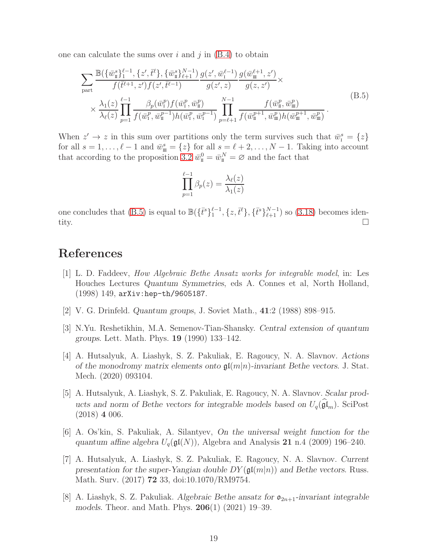one can calculate the sums over i and j in  $(B.4)$  to obtain

<span id="page-19-8"></span>
$$
\sum_{\text{part}} \frac{\mathbb{B}(\{\bar{w}_{\pi}^s\}_1^{\ell-1}, \{z', \bar{t}^{\ell}\}, \{\bar{w}_{\pi}^s\}_{\ell+1}^{N-1})}{f(\bar{t}^{\ell+1}, z')f(z', \bar{t}^{\ell-1})} \frac{g(z', \bar{w}_{\pi}^{\ell-1})}{g(z', z)} \frac{g(\bar{w}_{\pi}^{\ell+1}, z')}{g(z, z')} \times \times \frac{\lambda_1(z)}{\lambda_{\ell}(z)} \prod_{p=1}^{\ell-1} \frac{\beta_p(\bar{w}_{\pi}^p) f(\bar{w}_{\pi}^p, \bar{w}_{\pi}^p)}{f(\bar{w}_{\pi}^p, \bar{w}_{\pi}^p)} \prod_{p=\ell+1}^{N-1} \frac{f(\bar{w}_{\pi}^p, \bar{w}_{\pi}^p)}{f(\bar{w}_{\pi}^{p+1}, \bar{w}_{\pi}^p) h(\bar{w}_{\pi}^{p+1}, \bar{w}_{\pi}^p)}.
$$
\n(B.5)

When  $z' \to z$  in this sum over partitions only the term survives such that  $\bar{w}_i^s = \{z\}$ for all  $s = 1, \ldots, \ell - 1$  and  $\bar{w}^s_{\mathfrak{m}} = \{z\}$  for all  $s = \ell + 2, \ldots, N - 1$ . Taking into account that according to the proposition [3.2](#page-8-1)  $\bar{w}_{\scriptscriptstyle \rm I\hspace{-1pt}I}^0 = \bar{w}_{\scriptscriptstyle \rm I\hspace{-1pt}I}^N = \varnothing$  and the fact that

$$
\prod_{p=1}^{\ell-1} \beta_p(z) = \frac{\lambda_{\ell}(z)}{\lambda_1(z)}
$$

one concludes that [\(B.5\)](#page-19-8) is equal to  $\mathbb{B}(\{\bar{t}^s\}_{1}^{\ell-1}, \{z, \bar{t}^{\ell}\}, \{\bar{t}^s\}_{\ell+1}^{N-1})$  so [\(3.18\)](#page-8-3) becomes identity.  $\Box$ 

## <span id="page-19-0"></span>References

- [1] L. D. Faddeev, How Algebraic Bethe Ansatz works for integrable model, in: Les Houches Lectures Quantum Symmetries, eds A. Connes et al, North Holland, (1998) 149, arXiv:hep-th/9605187.
- <span id="page-19-2"></span><span id="page-19-1"></span>[2] V. G. Drinfeld. Quantum groups, J. Soviet Math., 41:2 (1988) 898–915.
- [3] N.Yu. Reshetikhin, M.A. Semenov-Tian-Shansky. Central extension of quantum groups. Lett. Math. Phys. 19 (1990) 133–142.
- <span id="page-19-3"></span>[4] A. Hutsalyuk, A. Liashyk, S. Z. Pakuliak, E. Ragoucy, N. A. Slavnov. Actions of the monodromy matrix elements onto  $\mathfrak{gl}(m|n)$ -invariant Bethe vectors. J. Stat. Mech. (2020) 093104.
- <span id="page-19-4"></span>[5] A. Hutsalyuk, A. Liashyk, S. Z. Pakuliak, E. Ragoucy, N. A. Slavnov. Scalar products and norm of Bethe vectors for integrable models based on  $U_q(\mathfrak{gl}_m)$ . SciPost (2018) 4 006.
- <span id="page-19-5"></span>[6] A. Os'kin, S. Pakuliak, A. Silantyev, On the universal weight function for the quantum affine algebra  $U_q(\mathfrak{gl}(N))$ , Algebra and Analysis 21 n.4 (2009) 196–240.
- <span id="page-19-6"></span>[7] A. Hutsalyuk, A. Liashyk, S. Z. Pakuliak, E. Ragoucy, N. A. Slavnov. Current presentation for the super-Yangian double  $DY(\mathfrak{gl}(m|n))$  and Bethe vectors. Russ. Math. Surv. (2017) 72 33, doi:10.1070/RM9754.
- <span id="page-19-7"></span>[8] A. Liashyk, S. Z. Pakuliak. Algebraic Bethe ansatz for  $\mathfrak{o}_{2n+1}$ -invariant integrable models. Theor. and Math. Phys. 206(1) (2021) 19–39.